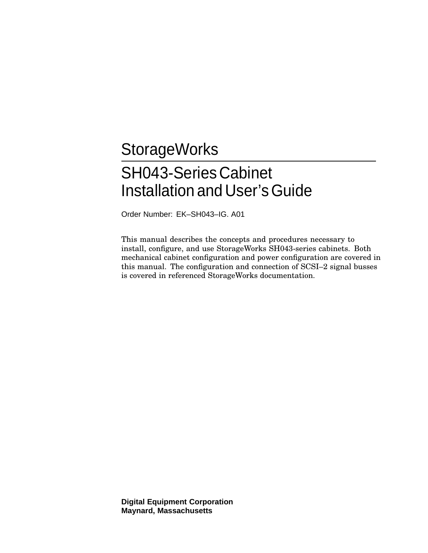# **StorageWorks**

# SH043-Series Cabinet Installation and User's Guide

Order Number: EK–SH043–IG. A01

This manual describes the concepts and procedures necessary to install, configure, and use StorageWorks SH043-series cabinets. Both mechanical cabinet configuration and power configuration are covered in this manual. The configuration and connection of SCSI–2 signal busses is covered in referenced StorageWorks documentation.

**Digital Equipment Corporation Maynard, Massachusetts**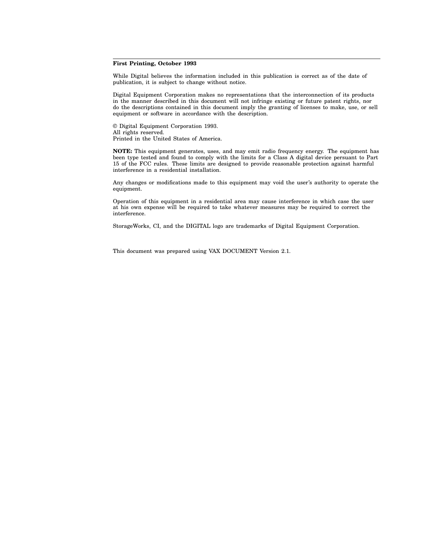#### **First Printing, October 1993**

While Digital believes the information included in this publication is correct as of the date of publication, it is subject to change without notice.

Digital Equipment Corporation makes no representations that the interconnection of its products in the manner described in this document will not infringe existing or future patent rights, nor do the descriptions contained in this document imply the granting of licenses to make, use, or sell equipment or software in accordance with the description.

© Digital Equipment Corporation 1993. All rights reserved. Printed in the United States of America.

**NOTE:** This equipment generates, uses, and may emit radio frequency energy. The equipment has been type tested and found to comply with the limits for a Class A digital device persuant to Part 15 of the FCC rules. These limits are designed to provide reasonable protection against harmful interference in a residential installation.

Any changes or modifications made to this equipment may void the user's authority to operate the equipment.

Operation of this equipment in a residential area may cause interference in which case the user at his own expense will be required to take whatever measures may be required to correct the interference.

StorageWorks, CI, and the DIGITAL logo are trademarks of Digital Equipment Corporation.

This document was prepared using VAX DOCUMENT Version 2.1.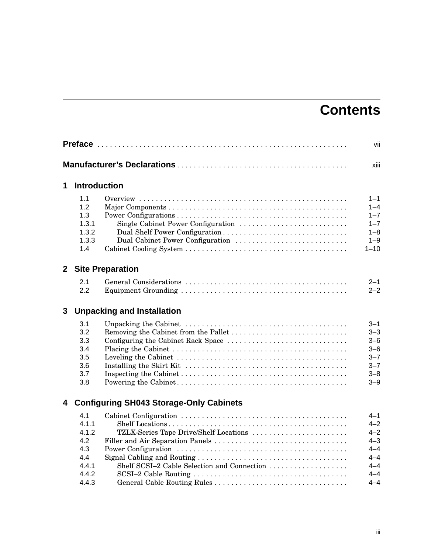# **Contents**

|              |                                                                       | vii                                                                                                      |                                                                                             |
|--------------|-----------------------------------------------------------------------|----------------------------------------------------------------------------------------------------------|---------------------------------------------------------------------------------------------|
|              |                                                                       |                                                                                                          | xiii                                                                                        |
| 1            | <b>Introduction</b>                                                   |                                                                                                          |                                                                                             |
|              | 1.1<br>1.2<br>1.3<br>1.3.1<br>1.3.2<br>1.3.3<br>1.4                   | Single Cabinet Power Configuration<br>Dual Shelf Power Configuration<br>Dual Cabinet Power Configuration | $1 - 1$<br>$1 - 4$<br>$1 - 7$<br>$1 - 7$<br>$1 - 8$<br>$1 - 9$<br>$1 - 10$                  |
| $\mathbf{2}$ |                                                                       | <b>Site Preparation</b>                                                                                  |                                                                                             |
|              | 2.1<br>2.2                                                            |                                                                                                          | $2 - 1$<br>$2 - 2$                                                                          |
| 3            |                                                                       | <b>Unpacking and Installation</b>                                                                        |                                                                                             |
|              | 3.1<br>3.2<br>3.3<br>3.4<br>3.5<br>3.6<br>3.7<br>3.8                  | Removing the Cabinet from the Pallet<br>Configuring the Cabinet Rack Space                               | 3–1<br>$3 - 3$<br>$3 - 6$<br>$3 - 6$<br>$3 - 7$<br>$3 - 7$<br>$3 - 8$<br>$3 - 9$            |
| 4            |                                                                       | <b>Configuring SH043 Storage-Only Cabinets</b>                                                           |                                                                                             |
|              | 4.1<br>4.1.1<br>4.1.2<br>4.2<br>4.3<br>4.4<br>4.4.1<br>4.4.2<br>4.4.3 | TZLX-Series Tape Drive/Shelf Locations                                                                   | 4–1<br>$4 - 2$<br>$4 - 2$<br>$4 - 3$<br>$4 - 4$<br>$4 - 4$<br>$4 - 4$<br>$4 - 4$<br>$4 - 4$ |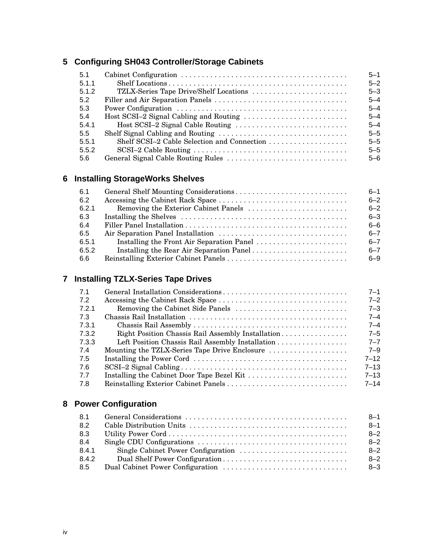# **5 Configuring SH043 Controller/Storage Cabinets**

| 5.1   |                                        | $5 - 1$ |
|-------|----------------------------------------|---------|
| 5.1.1 |                                        | $5 - 2$ |
| 5.1.2 | TZLX-Series Tape Drive/Shelf Locations | $5 - 3$ |
| 5.2   |                                        | $5 - 4$ |
| 5.3   |                                        | $5 - 4$ |
| -5.4  |                                        | $5 - 4$ |
| 5.4.1 |                                        | $5 - 4$ |
| 5.5   |                                        | $5 - 5$ |
| 5.5.1 |                                        | $5 - 5$ |
| 5.5.2 |                                        | $5 - 5$ |
| 5.6   |                                        | $5 - 6$ |

# **6 Installing StorageWorks Shelves**

| 6.1   | $6 - 1$ |
|-------|---------|
| 6.2   | $6 - 2$ |
| 6.2.1 | $6 - 2$ |
| 6.3   | $6 - 3$ |
| 6.4   | $6 - 6$ |
| 6.5   | $6 - 7$ |
| 6.5.1 | $6 - 7$ |
| 6.5.2 | $6 - 7$ |
| 6.6   | $6 - 9$ |

# **7 Installing TZLX-Series Tape Drives**

| 7.1   |                                                   | $7 - 1$  |
|-------|---------------------------------------------------|----------|
| 7.2   |                                                   | $7 - 2$  |
| 7.2.1 | Removing the Cabinet Side Panels                  | $7 - 3$  |
| 7.3   |                                                   | $7 - 4$  |
| 7.3.1 |                                                   | $7 - 4$  |
| 7.3.2 | Right Position Chassis Rail Assembly Installation | $7 - 5$  |
| 7.3.3 | Left Position Chassis Rail Assembly Installation  | $7 - 7$  |
| 7.4   | Mounting the TZLX-Series Tape Drive Enclosure     | $7 - 9$  |
| 7.5   |                                                   | $7 - 12$ |
| 7.6   |                                                   | $7 - 13$ |
| 7.7   |                                                   | $7 - 13$ |
| 7.8   |                                                   | $7 - 14$ |

# **8 Power Configuration**

| 8.1   | $8 - 1$ |
|-------|---------|
| 8.2   | $8 - 1$ |
| 8.3   | $8 - 2$ |
| 8.4   | $8 - 2$ |
| 8.4.1 | $8 - 2$ |
| 8.4.2 | $8 - 2$ |
| 8.5   | $8 - 3$ |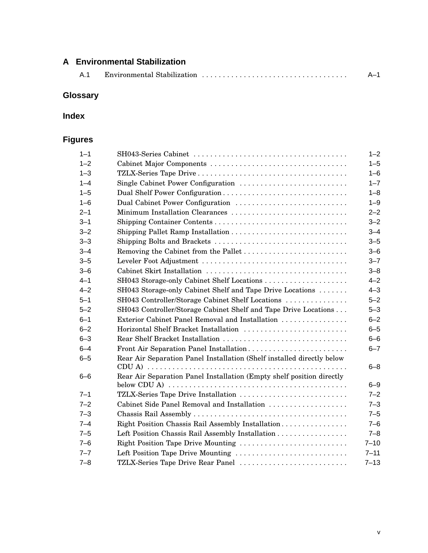# **A Environmental Stabilization** A.1 Environmental Stabilization . . . . . . . . . . . . . . . . . . . . . . . . . . . . . . . . . . . A–1

# **Glossary**

## **Index**

# **Figures**

| $1 - 1$ |                                                                        | $1 - 2$  |
|---------|------------------------------------------------------------------------|----------|
| $1 - 2$ |                                                                        | $1 - 5$  |
| $1 - 3$ |                                                                        | $1 - 6$  |
| $1 - 4$ | Single Cabinet Power Configuration                                     | $1 - 7$  |
| $1 - 5$ | Dual Shelf Power Configuration                                         | $1 - 8$  |
| $1 - 6$ | Dual Cabinet Power Configuration                                       | $1 - 9$  |
| $2 - 1$ | Minimum Installation Clearances                                        | $2 - 2$  |
| $3 - 1$ |                                                                        | $3 - 2$  |
| $3 - 2$ |                                                                        | $3 - 4$  |
| $3 - 3$ | Shipping Bolts and Brackets                                            | $3 - 5$  |
| $3 - 4$ |                                                                        | $3 - 6$  |
| $3 - 5$ |                                                                        | $3 - 7$  |
| $3 - 6$ |                                                                        | $3 - 8$  |
| $4 - 1$ |                                                                        | $4 - 2$  |
| $4 - 2$ | SH043 Storage-only Cabinet Shelf and Tape Drive Locations              | $4 - 3$  |
| $5 - 1$ | SH043 Controller/Storage Cabinet Shelf Locations                       | $5 - 2$  |
| $5 - 2$ | SH043 Controller/Storage Cabinet Shelf and Tape Drive Locations        | $5 - 3$  |
| $6 - 1$ | Exterior Cabinet Panel Removal and Installation                        | $6 - 2$  |
| $6 - 2$ | Horizontal Shelf Bracket Installation                                  | $6 - 5$  |
| $6 - 3$ | Rear Shelf Bracket Installation                                        | $6 - 6$  |
| $6 - 4$ | Front Air Separation Panel Installation                                | $6 - 7$  |
| $6 - 5$ | Rear Air Separation Panel Installation (Shelf installed directly below | $6 - 8$  |
| $6 - 6$ | Rear Air Separation Panel Installation (Empty shelf position directly  |          |
|         |                                                                        | $6 - 9$  |
| $7 - 1$ | TZLX-Series Tape Drive Installation                                    | $7 - 2$  |
| $7 - 2$ | Cabinet Side Panel Removal and Installation                            | $7 - 3$  |
| $7 - 3$ |                                                                        | $7 - 5$  |
| $7 - 4$ | Right Position Chassis Rail Assembly Installation                      | $7 - 6$  |
| $7 - 5$ | Left Position Chassis Rail Assembly Installation                       | $7 - 8$  |
| $7 - 6$ | Right Position Tape Drive Mounting                                     | $7 - 10$ |
| $7 - 7$ | Left Position Tape Drive Mounting                                      | $7 - 11$ |
| $7 - 8$ | TZLX-Series Tape Drive Rear Panel                                      | $7 - 13$ |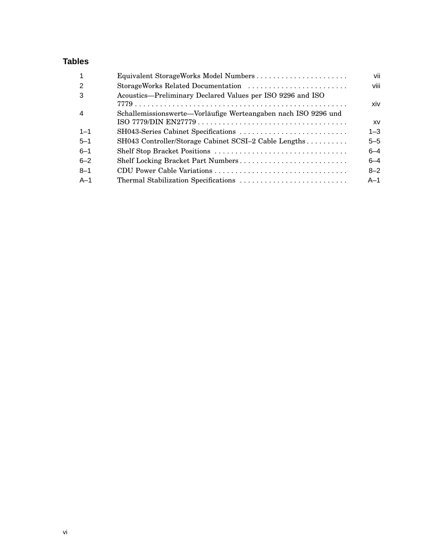## **Tables**

| Equivalent StorageWorks Model Numbers                          | vii       |
|----------------------------------------------------------------|-----------|
| StorageWorks Related Documentation                             | viii      |
| Acoustics—Preliminary Declared Values per ISO 9296 and ISO     | xiv       |
| Schallemissionswerte-Vorläufige Werteangaben nach ISO 9296 und | <b>XV</b> |
|                                                                | $1 - 3$   |
| SH043 Controller/Storage Cabinet SCSI-2 Cable Lengths          | $5 - 5$   |
|                                                                | $6 - 4$   |
| Shelf Locking Bracket Part Numbers                             | $6 - 4$   |
|                                                                | $8 - 2$   |
|                                                                | $A-1$     |
|                                                                |           |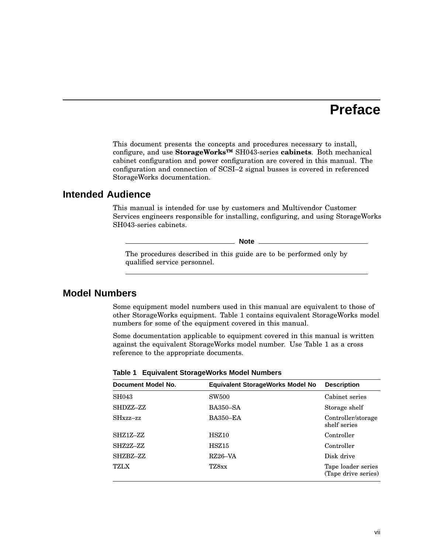# **Preface**

This document presents the concepts and procedures necessary to install, configure, and use **StorageWorks™** SH043-series **cabinets**. Both mechanical cabinet configuration and power configuration are covered in this manual. The configuration and connection of SCSI–2 signal busses is covered in referenced StorageWorks documentation.

### **Intended Audience**

This manual is intended for use by customers and Multivendor Customer Services engineers responsible for installing, configuring, and using StorageWorks SH043-series cabinets.

**Note** 2008

The procedures described in this guide are to be performed only by qualified service personnel.

## **Model Numbers**

Some equipment model numbers used in this manual are equivalent to those of other StorageWorks equipment. Table 1 contains equivalent StorageWorks model numbers for some of the equipment covered in this manual.

Some documentation applicable to equipment covered in this manual is written against the equivalent StorageWorks model number. Use Table 1 as a cross reference to the appropriate documents.

| Document Model No. | <b>Equivalent StorageWorks Model No</b> | <b>Description</b>                        |
|--------------------|-----------------------------------------|-------------------------------------------|
| SH043              | SW <sub>500</sub>                       | Cabinet series                            |
| SHDZZ-ZZ           | <b>BA350–SA</b>                         | Storage shelf                             |
| $SHxzz-zz$         | <b>BA350-EA</b>                         | Controller/storage<br>shelf series        |
| SHZ1Z-ZZ           | HSZ10                                   | Controller                                |
| SHZ2Z-ZZ           | HSZ15                                   | Controller                                |
| SHZBZ-ZZ           | RZ26–VA                                 | Disk drive                                |
| <b>TZLX</b>        | TZ8xx                                   | Tape loader series<br>(Tape drive series) |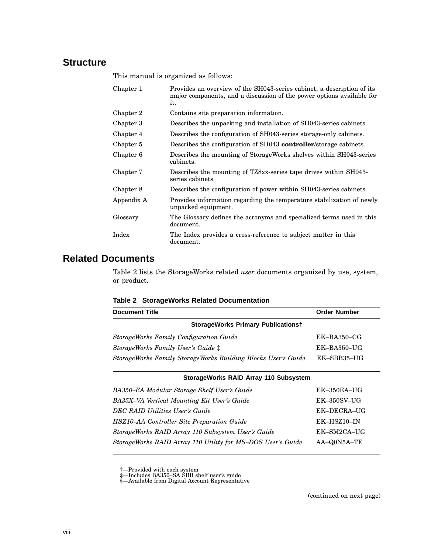# **Structure**

This manual is organized as follows:

| Chapter 1  | Provides an overview of the SH043-series cabinet, a description of its<br>major components, and a discussion of the power options available for<br>it. |
|------------|--------------------------------------------------------------------------------------------------------------------------------------------------------|
| Chapter 2  | Contains site preparation information.                                                                                                                 |
| Chapter 3  | Describes the unpacking and installation of SH043-series cabinets.                                                                                     |
| Chapter 4  | Describes the configuration of SH043-series storage-only cabinets.                                                                                     |
| Chapter 5  | Describes the configuration of SH043 <b>controller</b> /storage cabinets.                                                                              |
| Chapter 6  | Describes the mounting of StorageWorks shelves within SH043-series<br>cabinets.                                                                        |
| Chapter 7  | Describes the mounting of TZ8xx-series tape drives within SH043-<br>series cabinets.                                                                   |
| Chapter 8  | Describes the configuration of power within SH043-series cabinets.                                                                                     |
| Appendix A | Provides information regarding the temperature stabilization of newly<br>unpacked equipment.                                                           |
| Glossary   | The Glossary defines the acronyms and specialized terms used in this<br>document.                                                                      |
| Index      | The Index provides a cross-reference to subject matter in this<br>document.                                                                            |

# **Related Documents**

Table 2 lists the StorageWorks related *user* documents organized by use, system, or product.

#### **Table 2 StorageWorks Related Documentation**

| <b>Document Title</b>                                         | <b>Order Number</b> |  |
|---------------------------------------------------------------|---------------------|--|
| <b>StorageWorks Primary Publicationst</b>                     |                     |  |
| <b>StorageWorks Family Configuration Guide</b>                | $EK-BA350-CG$       |  |
| StorageWorks Family User's Guide ‡                            | $EK-BA350-UG$       |  |
| StorageWorks Family StorageWorks Building Blocks User's Guide | EK-SBB35-UG         |  |

| StorageWorks RAID Array 110 Subsystem                       |                    |
|-------------------------------------------------------------|--------------------|
| BA350-EA Modular Storage Shelf User's Guide                 | $EK-350EA-UG$      |
| BA35X-VA Vertical Mounting Kit User's Guide                 | <b>EK-350SV-UG</b> |
| DEC RAID Utilities User's Guide                             | EK-DECRA-UG        |
| <b>HSZ10-AA Controller Site Preparation Guide</b>           | $EK-HSZ10-IN$      |
| StorageWorks RAID Array 110 Subsystem User's Guide          | EK-SM2CA-UG        |
| StorageWorks RAID Array 110 Utility for MS-DOS User's Guide | AA-Q0N5A-TE        |
|                                                             |                    |

†—Provided with each system ‡—Includes BA350–SA SBB shelf user's guide §—Available from Digital Account Representative

(continued on next page)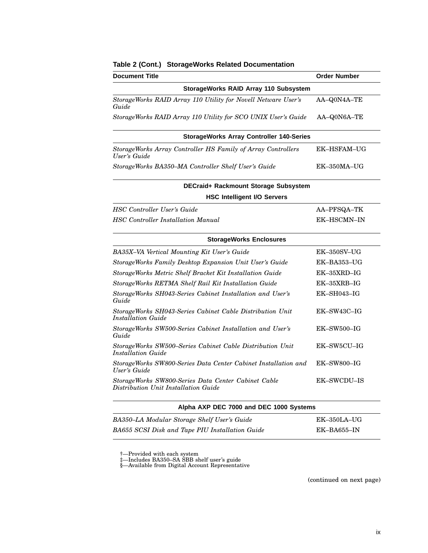| <b>Document Title</b>                                                                       | <b>Order Number</b> |  |
|---------------------------------------------------------------------------------------------|---------------------|--|
| StorageWorks RAID Array 110 Subsystem                                                       |                     |  |
| StorageWorks RAID Array 110 Utility for Novell Netware User's<br>Guide                      | AA-Q0N4A-TE         |  |
| StorageWorks RAID Array 110 Utility for SCO UNIX User's Guide                               | AA-Q0N6A-TE         |  |
| <b>StorageWorks Array Controller 140-Series</b>                                             |                     |  |
| StorageWorks Array Controller HS Family of Array Controllers<br>User's Guide                | EK-HSFAM-UG         |  |
| StorageWorks BA350–MA Controller Shelf User's Guide                                         | $EK-350MA-UG$       |  |
| DECraid+ Rackmount Storage Subsystem                                                        |                     |  |
| <b>HSC Intelligent I/O Servers</b>                                                          |                     |  |
| <b>HSC Controller User's Guide</b>                                                          | AA-PFSQA-TK         |  |
| <b>HSC</b> Controller Installation Manual                                                   | EK-HSCMN-IN         |  |
| <b>StorageWorks Enclosures</b>                                                              |                     |  |
| BA35X-VA Vertical Mounting Kit User's Guide                                                 | $EK-350SV-UG$       |  |
| StorageWorks Family Desktop Expansion Unit User's Guide                                     | EK–BA353–UG         |  |
| StorageWorks Metric Shelf Bracket Kit Installation Guide                                    | EK-35XRD-IG         |  |
| StorageWorks RETMA Shelf Rail Kit Installation Guide                                        | EK-35XRB-IG         |  |
| StorageWorks SH043-Series Cabinet Installation and User's<br>Guide                          | $EK$ -SH043-IG      |  |
| StorageWorks SH043-Series Cabinet Cable Distribution Unit<br><b>Installation Guide</b>      | EK-SW43C-IG         |  |
| StorageWorks SW500-Series Cabinet Installation and User's<br>Guide                          | $EK$ -SW500-IG      |  |
| StorageWorks SW500–Series Cabinet Cable Distribution Unit<br><b>Installation Guide</b>      | EK-SW5CU-IG         |  |
| StorageWorks SW800-Series Data Center Cabinet Installation and<br>User's Guide              | EK-SW800-IG         |  |
| StorageWorks SW800-Series Data Center Cabinet Cable<br>Distribution Unit Installation Guide | <b>EK-SWCDU-IS</b>  |  |
| Alpha AXP DEC 7000 and DEC 1000 Systems                                                     |                     |  |
| BA350-LA Modular Storage Shelf User's Guide                                                 | EK-350LA-UG         |  |

*BA655 SCSI Disk and Tape PIU Installation Guide* EK–BA655–IN

#### **Table 2 (Cont.) StorageWorks Related Documentation**

†—Provided with each system ‡—Includes BA350–SA SBB shelf user's guide §—Available from Digital Account Representative

(continued on next page)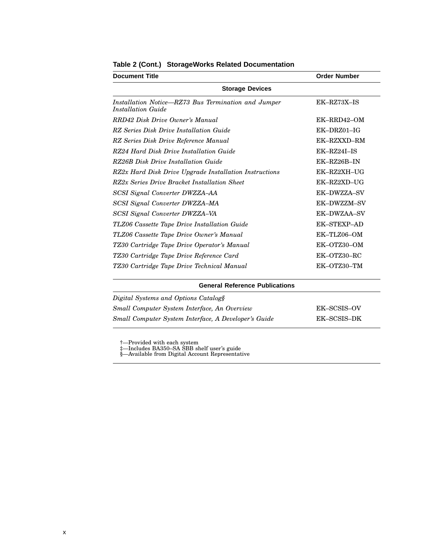| <b>Document Title</b>                                                     | <b>Order Number</b> |  |
|---------------------------------------------------------------------------|---------------------|--|
| <b>Storage Devices</b>                                                    |                     |  |
| Installation Notice—RZ73 Bus Termination and Jumper<br>Installation Guide | EK-RZ73X-IS         |  |
| RRD42 Disk Drive Owner's Manual                                           | EK-RRD42-OM         |  |
| RZ Series Disk Drive Installation Guide                                   | $EK-DRZ01-IG$       |  |
| RZ Series Disk Drive Reference Manual                                     | EK-RZXXD-RM         |  |
| RZ24 Hard Disk Drive Installation Guide                                   | EK-RZ24I-IS         |  |
| RZ26B Disk Drive Installation Guide                                       | EK-RZ26B-IN         |  |
| RZ2x Hard Disk Drive Upgrade Installation Instructions                    | EK-RZ2XH-UG         |  |
| RZ2x Series Drive Bracket Installation Sheet                              | EK-RZ2XD-UG         |  |
| <b>SCSI Signal Converter DWZZA-AA</b>                                     | EK-DWZZA-SV         |  |
| <b>SCSI Signal Converter DWZZA-MA</b>                                     | EK-DWZZM-SV         |  |
| <b>SCSI Signal Converter DWZZA-VA</b>                                     | EK-DWZAA-SV         |  |
| TLZ06 Cassette Tape Drive Installation Guide                              | <b>EK-STEXP-AD</b>  |  |
| TLZ06 Cassette Tape Drive Owner's Manual                                  | EK-TLZ06-OM         |  |
| TZ30 Cartridge Tape Drive Operator's Manual                               | EK-OTZ30-OM         |  |
| TZ30 Cartridge Tape Drive Reference Card                                  | EK-OTZ30-RC         |  |
| TZ30 Cartridge Tape Drive Technical Manual                                | EK-OTZ30-TM         |  |

#### **Table 2 (Cont.) StorageWorks Related Documentation**

| <b>General Reference Publications</b>                |             |  |
|------------------------------------------------------|-------------|--|
| Digital Systems and Options Catalogs                 |             |  |
| Small Computer System Interface, An Overview         | EK-SCSIS-OV |  |
| Small Computer System Interface, A Developer's Guide | EK-SCSIS-DK |  |

†—Provided with each system ‡—Includes BA350–SA SBB shelf user's guide §—Available from Digital Account Representative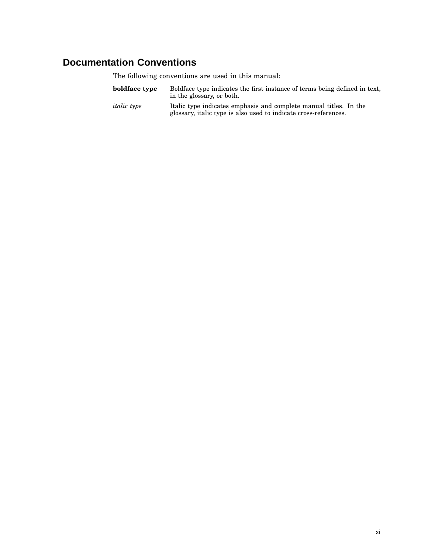# **Documentation Conventions**

The following conventions are used in this manual:

| boldface type      | Boldface type indicates the first instance of terms being defined in text,<br>in the glossary, or both. |
|--------------------|---------------------------------------------------------------------------------------------------------|
| <i>italic</i> type | Italic type indicates emphasis and complete manual titles. In the                                       |

glossary, italic type is also used to indicate cross-references.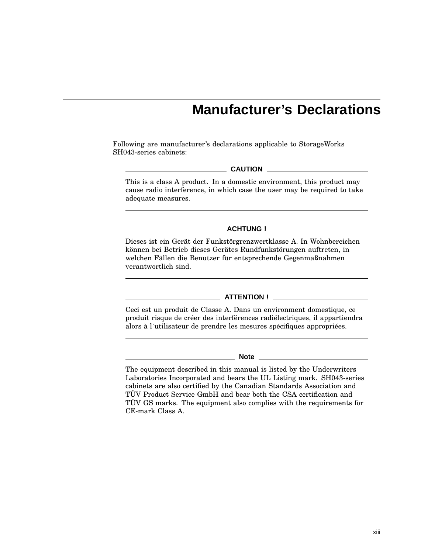# **Manufacturer's Declarations**

Following are manufacturer's declarations applicable to StorageWorks SH043-series cabinets:

#### **CAUTION**

This is a class A product. In a domestic environment, this product may cause radio interference, in which case the user may be required to take adequate measures.

**ACHTUNG !**

Dieses ist ein Gerät der Funkstörgrenzwertklasse A. In Wohnbereichen können bei Betrieb dieses Gerätes Rundfunkstörungen auftreten, in welchen Fällen die Benutzer für entsprechende Gegenmaßnahmen verantwortlich sind.

#### **ATTENTION !**

Ceci est un produit de Classe A. Dans un environment domestique, ce produit risque de créer des interférences radiélectriques, il appartiendra alors à l´utilisateur de prendre les mesures spécifiques appropriées.

#### **Note**

The equipment described in this manual is listed by the Underwriters Laboratories Incorporated and bears the UL Listing mark. SH043-series cabinets are also certified by the Canadian Standards Association and TÜV Product Service GmbH and bear both the CSA certification and TÜV GS marks. The equipment also complies with the requirements for CE-mark Class A.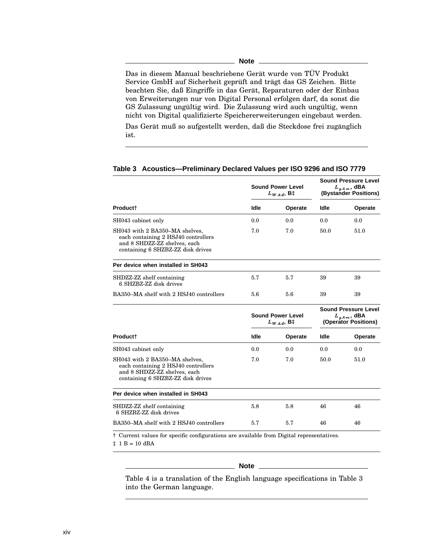Das in diesem Manual beschriebene Gerät wurde von TÜV Produkt Service GmbH auf Sicherheit geprüft and trägt das GS Zeichen. Bitte beachten Sie, daß Eingriffe in das Gerät, Reparaturen oder der Einbau von Erweiterungen nur von Digital Personal erfolgen darf, da sonst die GS Zulassung ungültig wird. Die Zulassung wird auch ungültig, wenn nicht von Digital qualifizierte Speichererweiterungen eingebaut werden. Das Gerät muß so aufgestellt werden, daß die Steckdose frei zugänglich

ist.

|                                                                                                                                            | <b>Sound Power Level</b><br>$L_{WAd}$ , B‡ |         | <b>Sound Pressure Level</b><br>$L_{p,Am}$ , dBA<br>(Bystander Positions) |         |
|--------------------------------------------------------------------------------------------------------------------------------------------|--------------------------------------------|---------|--------------------------------------------------------------------------|---------|
| <b>Productt</b>                                                                                                                            | Idle                                       | Operate | Idle                                                                     | Operate |
| SH043 cabinet only                                                                                                                         | 0.0                                        | 0.0     | 0.0                                                                      | 0.0     |
| SH043 with 2 BA350–MA shelves,<br>each containing 2 HSJ40 controllers<br>and 8 SHDZZ-ZZ shelves, each<br>containing 6 SHZBZ-ZZ disk drives | 7.0                                        | 7.0     | 50.0                                                                     | 51.0    |
| Per device when installed in SH043                                                                                                         |                                            |         |                                                                          |         |
| SHDZZ-ZZ shelf containing<br>6 SHZBZ-ZZ disk drives                                                                                        | 5.7                                        | 5.7     | 39                                                                       | 39      |
| BA350–MA shelf with 2 HSJ40 controllers                                                                                                    | 5.6                                        | 5.6     | 39                                                                       | 39      |
|                                                                                                                                            | <b>Sound Power Level</b><br>$L_{WAA}$ , B‡ |         | <b>Sound Pressure Level</b><br>$L_{p,Am}$ , dBA<br>(Operator Positions)  |         |
| <b>Productt</b>                                                                                                                            | Idle                                       | Operate | ldle                                                                     | Operate |
| SH043 cabinet only                                                                                                                         | 0.0                                        | 0.0     | 0.0                                                                      | 0.0     |
| SH043 with 2 BA350-MA shelves,<br>each containing 2 HSJ40 controllers<br>and 8 SHDZZ-ZZ shelves, each<br>containing 6 SHZBZ-ZZ disk drives | 7.0                                        | 7.0     | 50.0                                                                     | 51.0    |
| Per device when installed in SH043                                                                                                         |                                            |         |                                                                          |         |
| SHDZZ-ZZ shelf containing<br>6 SHZBZ-ZZ disk drives                                                                                        | 5.8                                        | 5.8     | 46                                                                       | 46      |
| BA350-MA shelf with 2 HSJ40 controllers                                                                                                    | 5.7                                        | 5.7     | 46                                                                       | 46      |
| † Current values for specific configurations are available from Digital representatives.                                                   |                                            |         |                                                                          |         |

#### **Table 3 Acoustics—Preliminary Declared Values per ISO 9296 and ISO 7779**

 $\ddagger$  1 B = 10 dBA

#### **Note**

Table 4 is a translation of the English language specifications in Table 3 into the German language.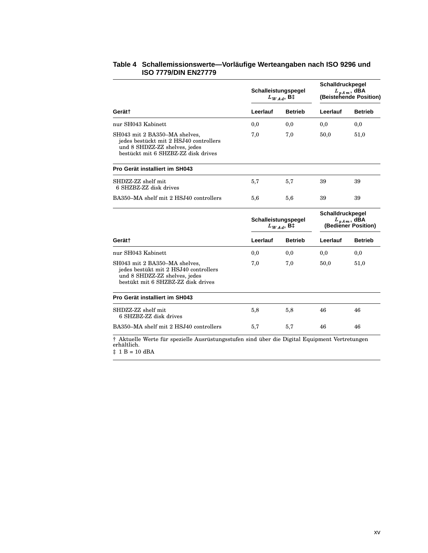|                                                                                                                                                 | Schalleistungspegel                   | $L_{WAd}$ , B‡ | Schalldruckpegel                                            | $L_{p,Am}$ , dBA<br>(Beistehende Position) |
|-------------------------------------------------------------------------------------------------------------------------------------------------|---------------------------------------|----------------|-------------------------------------------------------------|--------------------------------------------|
| Gerät†                                                                                                                                          | Leerlauf                              | <b>Betrieb</b> | Leerlauf                                                    | <b>Betrieb</b>                             |
| nur SH043 Kabinett                                                                                                                              | 0,0                                   | 0,0            | 0,0                                                         | 0,0                                        |
| SH043 mit 2 BA350-MA shelves,<br>jedes bestückt mit 2 HSJ40 controllers<br>und 8 SHDZZ-ZZ shelves, jedes<br>bestückt mit 6 SHZBZ-ZZ disk drives | 7,0                                   | 7,0            | 50,0                                                        | 51,0                                       |
| Pro Gerät installiert im SH043                                                                                                                  |                                       |                |                                                             |                                            |
| SHDZZ-ZZ shelf mit<br>6 SHZBZ-ZZ disk drives                                                                                                    | 5,7                                   | 5,7            | 39                                                          | 39                                         |
| BA350-MA shelf mit 2 HSJ40 controllers                                                                                                          | 5,6                                   | 5,6            | 39                                                          | 39                                         |
|                                                                                                                                                 | Schalleistungspegel<br>$L_{WAd}$ , B‡ |                | Schalldruckpegel<br>$L_{pA m}$ , dBA<br>(Bediener Position) |                                            |
| Gerät†                                                                                                                                          | Leerlauf                              | <b>Betrieb</b> | Leerlauf                                                    | <b>Betrieb</b>                             |
| nur SH043 Kabinett                                                                                                                              | 0,0                                   | 0,0            | 0,0                                                         | 0,0                                        |
| SH043 mit 2 BA350-MA shelves,<br>jedes bestükt mit 2 HSJ40 controllers<br>und 8 SHDZZ-ZZ shelves, jedes<br>bestükt mit 6 SHZBZ-ZZ disk drives   | 7,0                                   | 7,0            | 50,0                                                        | 51,0                                       |
| Pro Gerät installiert im SH043                                                                                                                  |                                       |                |                                                             |                                            |
| SHDZZ-ZZ shelf mit<br>6 SHZBZ-ZZ disk drives                                                                                                    | 5,8                                   | 5,8            | 46                                                          | 46                                         |
| BA350-MA shelf mit 2 HSJ40 controllers                                                                                                          | 5,7                                   | 5,7            | 46                                                          | 46                                         |

#### **Table 4 Schallemissionswerte—Vorläufige Werteangaben nach ISO 9296 und ISO 7779/DIN EN27779**

erhältlich.

 $\ddagger$  1 B = 10 dBA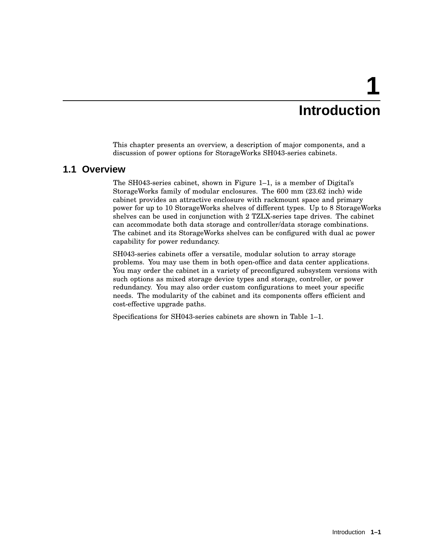# **1 Introduction**

This chapter presents an overview, a description of major components, and a discussion of power options for StorageWorks SH043-series cabinets.

### **1.1 Overview**

The SH043-series cabinet, shown in Figure 1–1, is a member of Digital's StorageWorks family of modular enclosures. The 600 mm (23.62 inch) wide cabinet provides an attractive enclosure with rackmount space and primary power for up to 10 StorageWorks shelves of different types. Up to 8 StorageWorks shelves can be used in conjunction with 2 TZLX-series tape drives. The cabinet can accommodate both data storage and controller/data storage combinations. The cabinet and its StorageWorks shelves can be configured with dual ac power capability for power redundancy.

SH043-series cabinets offer a versatile, modular solution to array storage problems. You may use them in both open-office and data center applications. You may order the cabinet in a variety of preconfigured subsystem versions with such options as mixed storage device types and storage, controller, or power redundancy. You may also order custom configurations to meet your specific needs. The modularity of the cabinet and its components offers efficient and cost-effective upgrade paths.

Specifications for SH043-series cabinets are shown in Table 1–1.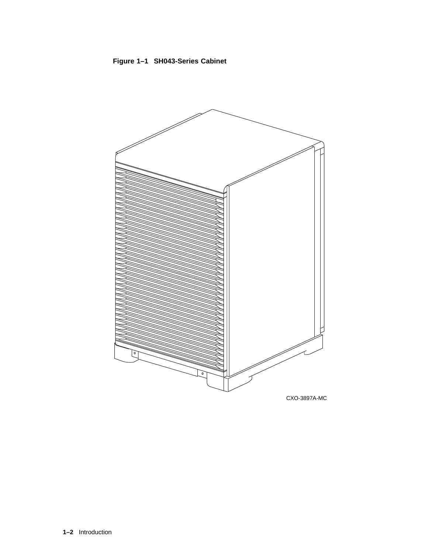



**1–2** Introduction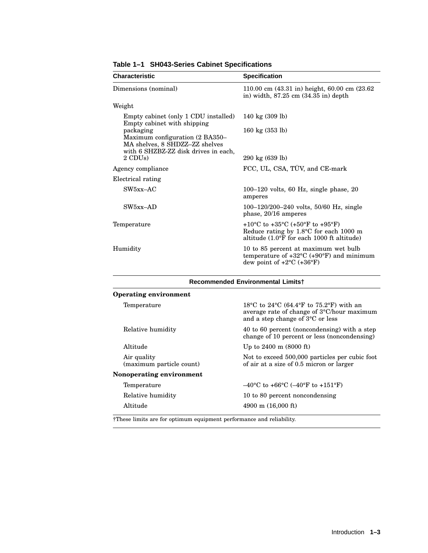| <b>Characteristic</b>                                                                                                  | <b>Specification</b>                                                                                                                            |
|------------------------------------------------------------------------------------------------------------------------|-------------------------------------------------------------------------------------------------------------------------------------------------|
| Dimensions (nominal)                                                                                                   | 110.00 cm (43.31 in) height, 60.00 cm (23.62<br>in) width, $87.25 \text{ cm}$ $(34.35 \text{ in}) \text{ depth}$                                |
| Weight                                                                                                                 |                                                                                                                                                 |
| Empty cabinet (only 1 CDU installed)<br>Empty cabinet with shipping                                                    | 140 kg $(309$ lb)                                                                                                                               |
| packaging<br>Maximum configuration (2 BA350-<br>MA shelves, 8 SHDZZ-ZZ shelves<br>with 6 SHZBZ-ZZ disk drives in each, | 160 kg $(353 \text{ lb})$                                                                                                                       |
| 2 CDU <sub>s</sub> )                                                                                                   | 290 kg (639 lb)                                                                                                                                 |
| Agency compliance                                                                                                      | FCC, UL, CSA, TÜV, and CE-mark                                                                                                                  |
| Electrical rating                                                                                                      |                                                                                                                                                 |
| $SW5xx-AC$                                                                                                             | $100-120$ volts, 60 Hz, single phase, 20<br>amperes                                                                                             |
| $SW5xx-AD$                                                                                                             | 100-120/200-240 volts, 50/60 Hz, single<br>phase, $20/16$ amperes                                                                               |
| Temperature                                                                                                            | +10 °C to +35 °C (+50 °F to +95 °F)<br>Reduce rating by $1.8^{\circ}$ C for each 1000 m<br>altitude $(1.0^{\circ}$ f for each 1000 ft altitude) |
| Humidity                                                                                                               | 10 to 85 percent at maximum wet bulb<br>temperature of $+32^{\circ}$ C ( $+90^{\circ}$ F) and minimum<br>dew point of $+2$ °C ( $+36$ °F)       |

**Table 1–1 SH043-Series Cabinet Specifications**

| <b>Recommended Environmental Limitst</b> |                                                                                                                                                   |  |
|------------------------------------------|---------------------------------------------------------------------------------------------------------------------------------------------------|--|
| <b>Operating environment</b>             |                                                                                                                                                   |  |
| Temperature                              | 18 °C to 24 °C (64.4 °F to 75.2 °F) with an<br>average rate of change of $3^{\circ}$ C/hour maximum<br>and a step change of $3^{\circ}$ C or less |  |
| Relative humidity                        | 40 to 60 percent (noncondensing) with a step<br>change of 10 percent or less (noncondensing)                                                      |  |
| Altitude                                 | Up to $2400 \text{ m}$ (8000 ft)                                                                                                                  |  |
| Air quality<br>(maximum particle count)  | Not to exceed 500,000 particles per cubic foot<br>of air at a size of 0.5 micron or larger                                                        |  |
| Nonoperating environment                 |                                                                                                                                                   |  |
| Temperature                              | $-40^{\circ}$ C to +66 $^{\circ}$ C (-40 $^{\circ}$ F to +151 $^{\circ}$ F)                                                                       |  |
| Relative humidity                        | 10 to 80 percent noncondensing                                                                                                                    |  |
| Altitude                                 | 4900 m $(16,000 \text{ ft})$                                                                                                                      |  |

†These limits are for optimum equipment performance and reliability.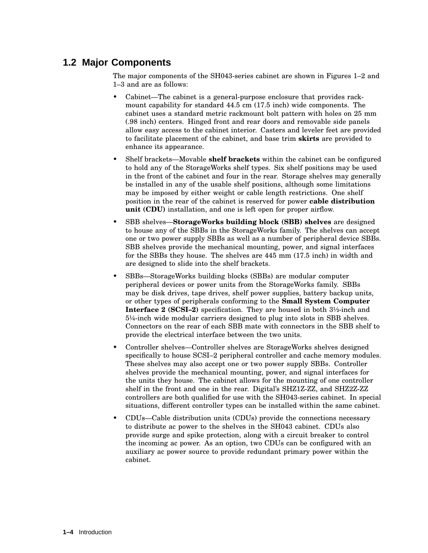# **1.2 Major Components**

The major components of the SH043-series cabinet are shown in Figures 1–2 and 1–3 and are as follows:

- Cabinet—The cabinet is a general-purpose enclosure that provides rackmount capability for standard 44.5 cm (17.5 inch) wide components. The cabinet uses a standard metric rackmount bolt pattern with holes on 25 mm (.98 inch) centers. Hinged front and rear doors and removable side panels allow easy access to the cabinet interior. Casters and leveler feet are provided to facilitate placement of the cabinet, and base trim **skirts** are provided to enhance its appearance.
- Shelf brackets—Movable **shelf brackets** within the cabinet can be configured to hold any of the StorageWorks shelf types. Six shelf positions may be used in the front of the cabinet and four in the rear. Storage shelves may generally be installed in any of the usable shelf positions, although some limitations may be imposed by either weight or cable length restrictions. One shelf position in the rear of the cabinet is reserved for power **cable distribution unit (CDU)** installation, and one is left open for proper airflow.
- SBB shelves—**StorageWorks building block (SBB) shelves** are designed to house any of the SBBs in the StorageWorks family. The shelves can accept one or two power supply SBBs as well as a number of peripheral device SBBs. SBB shelves provide the mechanical mounting, power, and signal interfaces for the SBBs they house. The shelves are 445 mm (17.5 inch) in width and are designed to slide into the shelf brackets.
- SBBs—StorageWorks building blocks (SBBs) are modular computer peripheral devices or power units from the StorageWorks family. SBBs may be disk drives, tape drives, shelf power supplies, battery backup units, or other types of peripherals conforming to the **Small System Computer Interface 2 (SCSI–2)** specification. They are housed in both 3½-inch and 5¼-inch wide modular carriers designed to plug into slots in SBB shelves. Connectors on the rear of each SBB mate with connectors in the SBB shelf to provide the electrical interface between the two units.
- Controller shelves—Controller shelves are StorageWorks shelves designed specifically to house SCSI–2 peripheral controller and cache memory modules. These shelves may also accept one or two power supply SBBs. Controller shelves provide the mechanical mounting, power, and signal interfaces for the units they house. The cabinet allows for the mounting of one controller shelf in the front and one in the rear. Digital's SHZ1Z-ZZ, and SHZ2Z-ZZ controllers are both qualified for use with the SH043-series cabinet. In special situations, different controller types can be installed within the same cabinet.
- CDUs—Cable distribution units (CDUs) provide the connections necessary to distribute ac power to the shelves in the SH043 cabinet. CDUs also provide surge and spike protection, along with a circuit breaker to control the incoming ac power. As an option, two CDUs can be configured with an auxiliary ac power source to provide redundant primary power within the cabinet.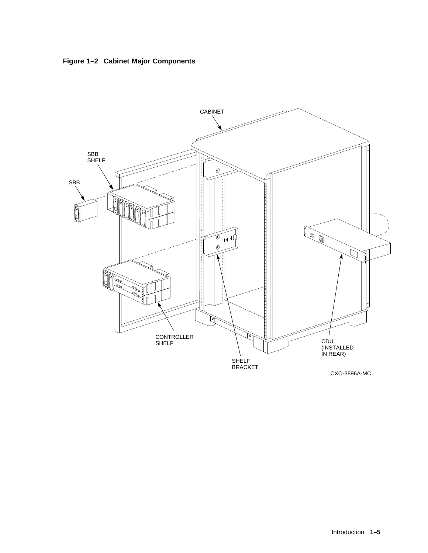

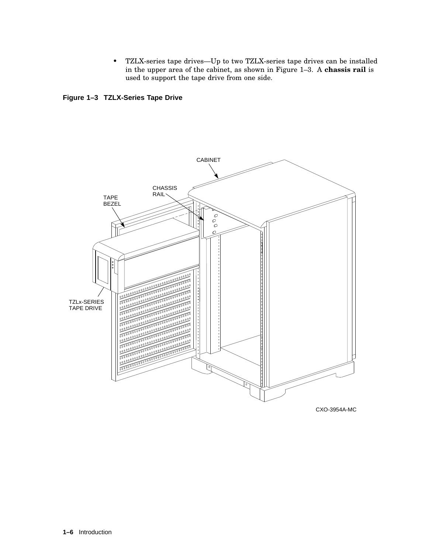• TZLX-series tape drives—Up to two TZLX-series tape drives can be installed in the upper area of the cabinet, as shown in Figure 1–3. A **chassis rail** is used to support the tape drive from one side.

**Figure 1–3 TZLX-Series Tape Drive**

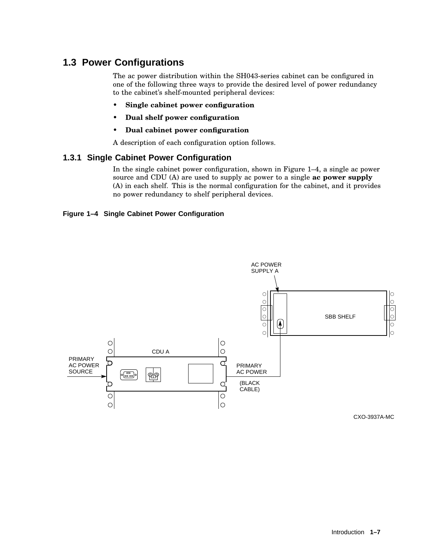# **1.3 Power Configurations**

The ac power distribution within the SH043-series cabinet can be configured in one of the following three ways to provide the desired level of power redundancy to the cabinet's shelf-mounted peripheral devices:

- **Single cabinet power configuration**
- **Dual shelf power configuration**
- **Dual cabinet power configuration**

A description of each configuration option follows.

#### **1.3.1 Single Cabinet Power Configuration**

In the single cabinet power configuration, shown in Figure 1–4, a single ac power source and CDU (A) are used to supply ac power to a single **ac power supply** (A) in each shelf. This is the normal configuration for the cabinet, and it provides no power redundancy to shelf peripheral devices.

#### **Figure 1–4 Single Cabinet Power Configuration**



CXO-3937A-MC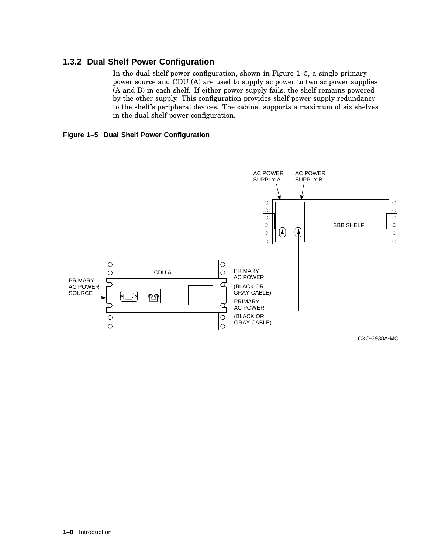#### **1.3.2 Dual Shelf Power Configuration**

In the dual shelf power configuration, shown in Figure 1–5, a single primary power source and CDU (A) are used to supply ac power to two ac power supplies (A and B) in each shelf. If either power supply fails, the shelf remains powered by the other supply. This configuration provides shelf power supply redundancy to the shelf's peripheral devices. The cabinet supports a maximum of six shelves in the dual shelf power configuration.

#### **Figure 1–5 Dual Shelf Power Configuration**



CXO-3938A-MC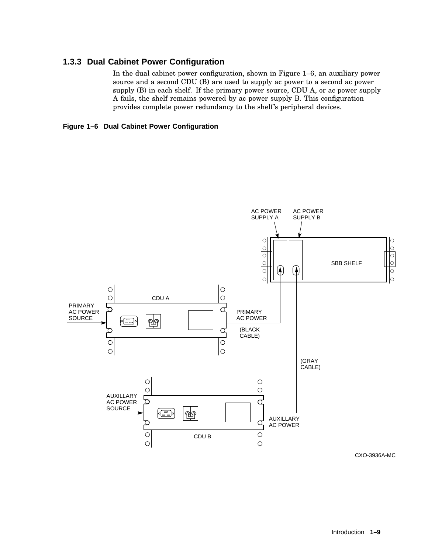#### **1.3.3 Dual Cabinet Power Configuration**

In the dual cabinet power configuration, shown in Figure 1–6, an auxiliary power source and a second CDU (B) are used to supply ac power to a second ac power supply (B) in each shelf. If the primary power source, CDU A, or ac power supply A fails, the shelf remains powered by ac power supply B. This configuration provides complete power redundancy to the shelf's peripheral devices.





CXO-3936A-MC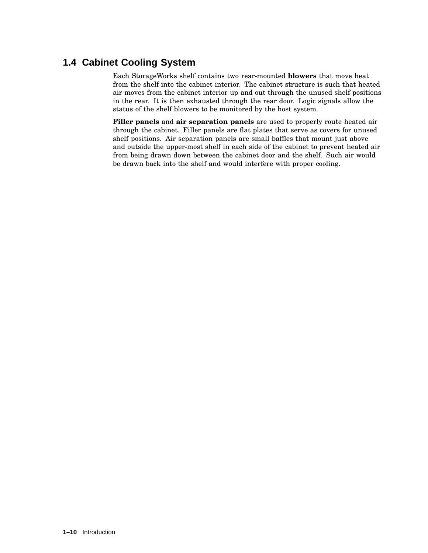# **1.4 Cabinet Cooling System**

Each StorageWorks shelf contains two rear-mounted **blowers** that move heat from the shelf into the cabinet interior. The cabinet structure is such that heated air moves from the cabinet interior up and out through the unused shelf positions in the rear. It is then exhausted through the rear door. Logic signals allow the status of the shelf blowers to be monitored by the host system.

**Filler panels** and **air separation panels** are used to properly route heated air through the cabinet. Filler panels are flat plates that serve as covers for unused shelf positions. Air separation panels are small baffles that mount just above and outside the upper-most shelf in each side of the cabinet to prevent heated air from being drawn down between the cabinet door and the shelf. Such air would be drawn back into the shelf and would interfere with proper cooling.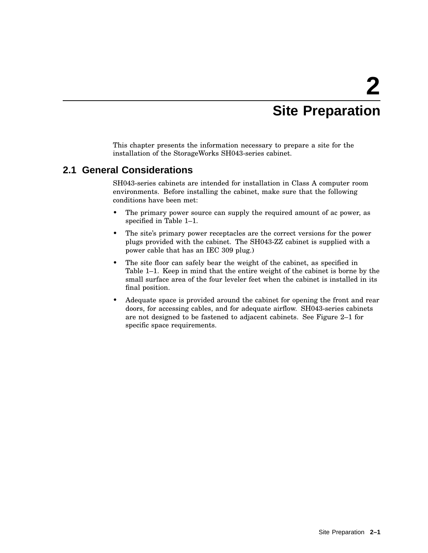# **2 Site Preparation**

This chapter presents the information necessary to prepare a site for the installation of the StorageWorks SH043-series cabinet.

### **2.1 General Considerations**

SH043-series cabinets are intended for installation in Class A computer room environments. Before installing the cabinet, make sure that the following conditions have been met:

- The primary power source can supply the required amount of ac power, as specified in Table 1–1.
- The site's primary power receptacles are the correct versions for the power plugs provided with the cabinet. The SH043-ZZ cabinet is supplied with a power cable that has an IEC 309 plug.)
- The site floor can safely bear the weight of the cabinet, as specified in Table 1–1. Keep in mind that the entire weight of the cabinet is borne by the small surface area of the four leveler feet when the cabinet is installed in its final position.
- Adequate space is provided around the cabinet for opening the front and rear doors, for accessing cables, and for adequate airflow. SH043-series cabinets are not designed to be fastened to adjacent cabinets. See Figure 2–1 for specific space requirements.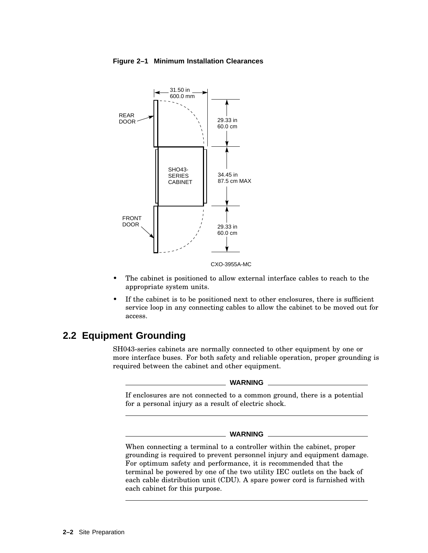

#### **Figure 2–1 Minimum Installation Clearances**

- The cabinet is positioned to allow external interface cables to reach to the appropriate system units.
- If the cabinet is to be positioned next to other enclosures, there is sufficient service loop in any connecting cables to allow the cabinet to be moved out for access.

## **2.2 Equipment Grounding**

SH043-series cabinets are normally connected to other equipment by one or more interface buses. For both safety and reliable operation, proper grounding is required between the cabinet and other equipment.

#### **WARNING**

If enclosures are not connected to a common ground, there is a potential for a personal injury as a result of electric shock.

#### **WARNING**

When connecting a terminal to a controller within the cabinet, proper grounding is required to prevent personnel injury and equipment damage. For optimum safety and performance, it is recommended that the terminal be powered by one of the two utility IEC outlets on the back of each cable distribution unit (CDU). A spare power cord is furnished with each cabinet for this purpose.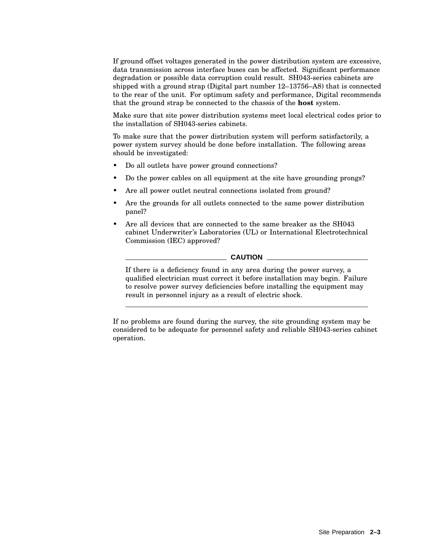If ground offset voltages generated in the power distribution system are excessive, data transmission across interface buses can be affected. Significant performance degradation or possible data corruption could result. SH043-series cabinets are shipped with a ground strap (Digital part number 12–13756–A8) that is connected to the rear of the unit. For optimum safety and performance, Digital recommends that the ground strap be connected to the chassis of the **host** system.

Make sure that site power distribution systems meet local electrical codes prior to the installation of SH043-series cabinets.

To make sure that the power distribution system will perform satisfactorily, a power system survey should be done before installation. The following areas should be investigated:

- Do all outlets have power ground connections?
- Do the power cables on all equipment at the site have grounding prongs?
- Are all power outlet neutral connections isolated from ground?
- Are the grounds for all outlets connected to the same power distribution panel?
- Are all devices that are connected to the same breaker as the SH043 cabinet Underwriter's Laboratories (UL) or International Electrotechnical Commission (IEC) approved?

#### **CAUTION**

If there is a deficiency found in any area during the power survey, a qualified electrician must correct it before installation may begin. Failure to resolve power survey deficiencies before installing the equipment may result in personnel injury as a result of electric shock.

If no problems are found during the survey, the site grounding system may be considered to be adequate for personnel safety and reliable SH043-series cabinet operation.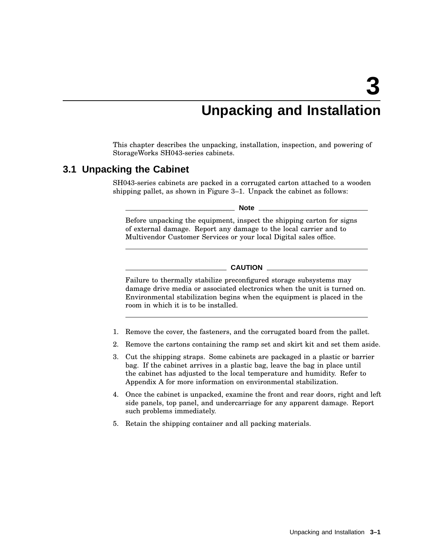# **Unpacking and Installation**

This chapter describes the unpacking, installation, inspection, and powering of StorageWorks SH043-series cabinets.

#### **3.1 Unpacking the Cabinet**

SH043-series cabinets are packed in a corrugated carton attached to a wooden shipping pallet, as shown in Figure 3–1. Unpack the cabinet as follows:

**Note**

Before unpacking the equipment, inspect the shipping carton for signs of external damage. Report any damage to the local carrier and to Multivendor Customer Services or your local Digital sales office.

**CAUTION**

Failure to thermally stabilize preconfigured storage subsystems may damage drive media or associated electronics when the unit is turned on. Environmental stabilization begins when the equipment is placed in the room in which it is to be installed.

- 1. Remove the cover, the fasteners, and the corrugated board from the pallet.
- 2. Remove the cartons containing the ramp set and skirt kit and set them aside.
- 3. Cut the shipping straps. Some cabinets are packaged in a plastic or barrier bag. If the cabinet arrives in a plastic bag, leave the bag in place until the cabinet has adjusted to the local temperature and humidity. Refer to Appendix A for more information on environmental stabilization.
- 4. Once the cabinet is unpacked, examine the front and rear doors, right and left side panels, top panel, and undercarriage for any apparent damage. Report such problems immediately.
- 5. Retain the shipping container and all packing materials.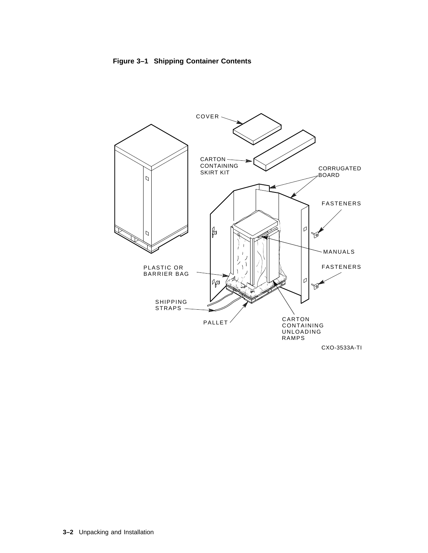



CXO-3533A-TI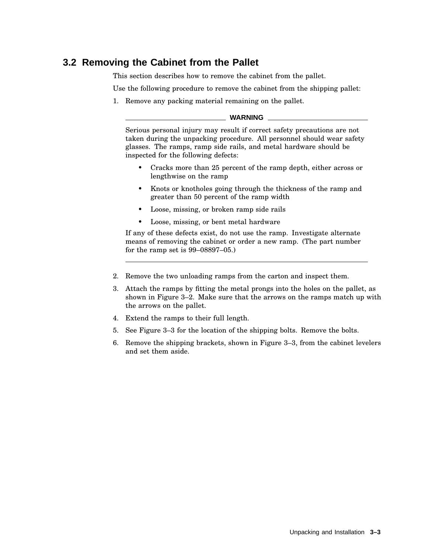## **3.2 Removing the Cabinet from the Pallet**

This section describes how to remove the cabinet from the pallet.

Use the following procedure to remove the cabinet from the shipping pallet:

1. Remove any packing material remaining on the pallet.

#### **WARNING**

Serious personal injury may result if correct safety precautions are not taken during the unpacking procedure. All personnel should wear safety glasses. The ramps, ramp side rails, and metal hardware should be inspected for the following defects:

- Cracks more than 25 percent of the ramp depth, either across or lengthwise on the ramp
- Knots or knotholes going through the thickness of the ramp and greater than 50 percent of the ramp width
- Loose, missing, or broken ramp side rails
- Loose, missing, or bent metal hardware

If any of these defects exist, do not use the ramp. Investigate alternate means of removing the cabinet or order a new ramp. (The part number for the ramp set is 99–08897–05.)

- 2. Remove the two unloading ramps from the carton and inspect them.
- 3. Attach the ramps by fitting the metal prongs into the holes on the pallet, as shown in Figure 3–2. Make sure that the arrows on the ramps match up with the arrows on the pallet.
- 4. Extend the ramps to their full length.
- 5. See Figure 3–3 for the location of the shipping bolts. Remove the bolts.
- 6. Remove the shipping brackets, shown in Figure 3–3, from the cabinet levelers and set them aside.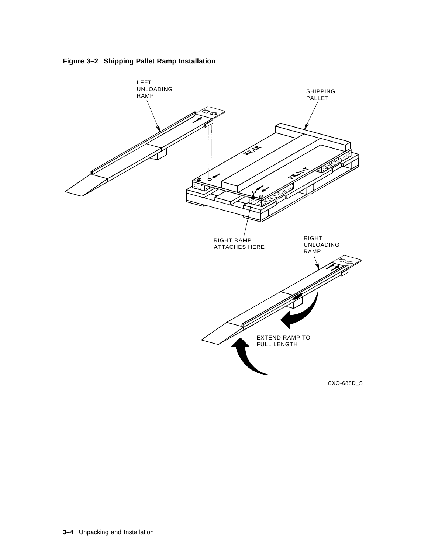

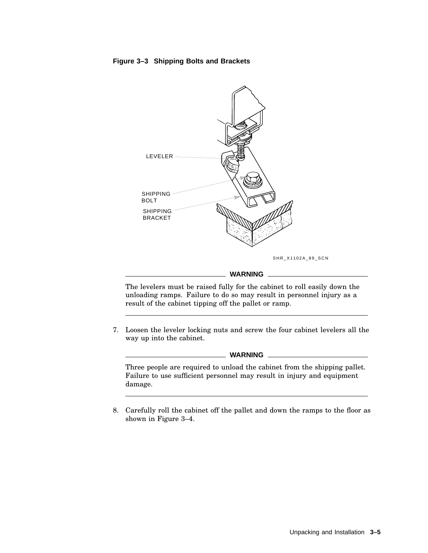#### **Figure 3–3 Shipping Bolts and Brackets**



SHR\_X1102A\_89\_SCN

#### **WARNING**

The levelers must be raised fully for the cabinet to roll easily down the unloading ramps. Failure to do so may result in personnel injury as a result of the cabinet tipping off the pallet or ramp.

7. Loosen the leveler locking nuts and screw the four cabinet levelers all the way up into the cabinet.

**WARNING**

Three people are required to unload the cabinet from the shipping pallet. Failure to use sufficient personnel may result in injury and equipment damage.

8. Carefully roll the cabinet off the pallet and down the ramps to the floor as shown in Figure 3–4.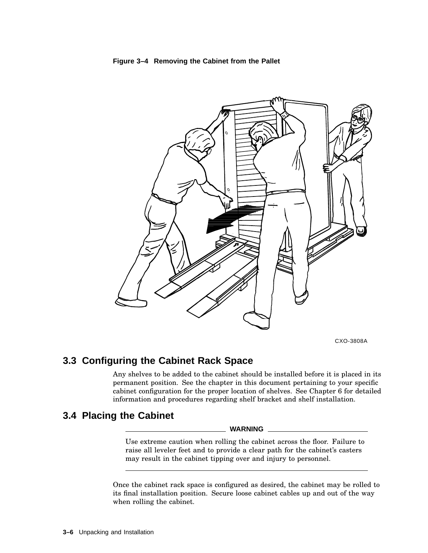



CXO-3808A

# **3.3 Configuring the Cabinet Rack Space**

Any shelves to be added to the cabinet should be installed before it is placed in its permanent position. See the chapter in this document pertaining to your specific cabinet configuration for the proper location of shelves. See Chapter 6 for detailed information and procedures regarding shelf bracket and shelf installation.

# **3.4 Placing the Cabinet**

#### **WARNING**

Use extreme caution when rolling the cabinet across the floor. Failure to raise all leveler feet and to provide a clear path for the cabinet's casters may result in the cabinet tipping over and injury to personnel.

Once the cabinet rack space is configured as desired, the cabinet may be rolled to its final installation position. Secure loose cabinet cables up and out of the way when rolling the cabinet.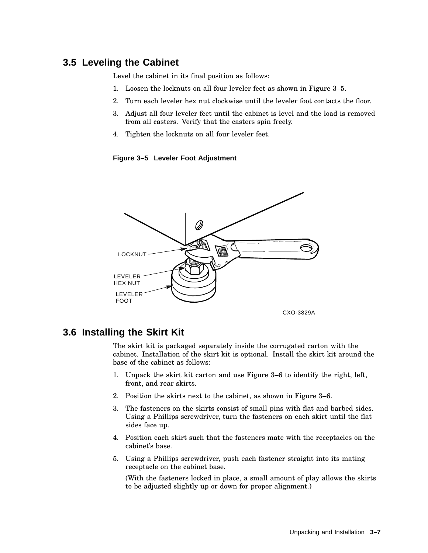# **3.5 Leveling the Cabinet**

Level the cabinet in its final position as follows:

- 1. Loosen the locknuts on all four leveler feet as shown in Figure 3–5.
- 2. Turn each leveler hex nut clockwise until the leveler foot contacts the floor.
- 3. Adjust all four leveler feet until the cabinet is level and the load is removed from all casters. Verify that the casters spin freely.
- 4. Tighten the locknuts on all four leveler feet.

**Figure 3–5 Leveler Foot Adjustment**



# **3.6 Installing the Skirt Kit**

The skirt kit is packaged separately inside the corrugated carton with the cabinet. Installation of the skirt kit is optional. Install the skirt kit around the base of the cabinet as follows:

- 1. Unpack the skirt kit carton and use Figure 3–6 to identify the right, left, front, and rear skirts.
- 2. Position the skirts next to the cabinet, as shown in Figure 3–6.
- 3. The fasteners on the skirts consist of small pins with flat and barbed sides. Using a Phillips screwdriver, turn the fasteners on each skirt until the flat sides face up.
- 4. Position each skirt such that the fasteners mate with the receptacles on the cabinet's base.
- 5. Using a Phillips screwdriver, push each fastener straight into its mating receptacle on the cabinet base.

(With the fasteners locked in place, a small amount of play allows the skirts to be adjusted slightly up or down for proper alignment.)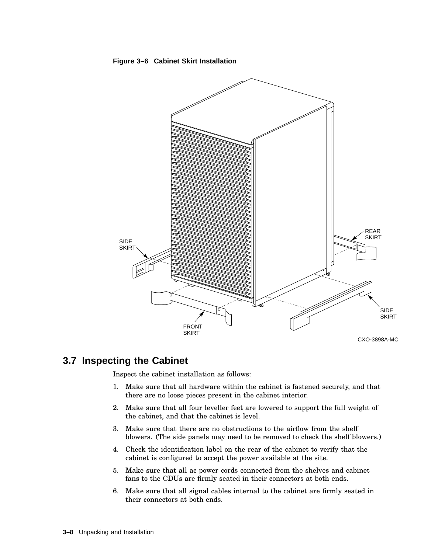

### **Figure 3–6 Cabinet Skirt Installation**

# **3.7 Inspecting the Cabinet**

Inspect the cabinet installation as follows:

- 1. Make sure that all hardware within the cabinet is fastened securely, and that there are no loose pieces present in the cabinet interior.
- 2. Make sure that all four leveller feet are lowered to support the full weight of the cabinet, and that the cabinet is level.
- 3. Make sure that there are no obstructions to the airflow from the shelf blowers. (The side panels may need to be removed to check the shelf blowers.)
- 4. Check the identification label on the rear of the cabinet to verify that the cabinet is configured to accept the power available at the site.
- 5. Make sure that all ac power cords connected from the shelves and cabinet fans to the CDUs are firmly seated in their connectors at both ends.
- 6. Make sure that all signal cables internal to the cabinet are firmly seated in their connectors at both ends.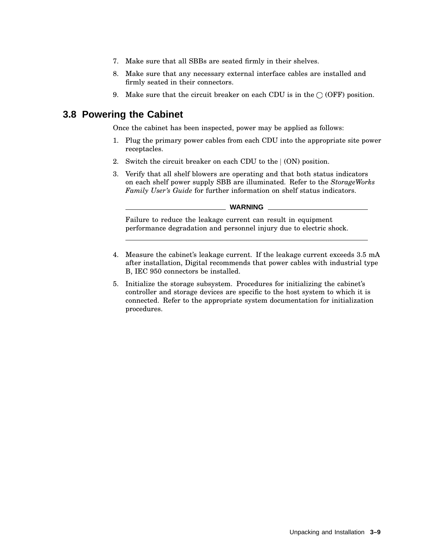- 7. Make sure that all SBBs are seated firmly in their shelves.
- 8. Make sure that any necessary external interface cables are installed and firmly seated in their connectors.
- 9. Make sure that the circuit breaker on each CDU is in the  $\bigcirc$  (OFF) position.

## **3.8 Powering the Cabinet**

Once the cabinet has been inspected, power may be applied as follows:

- 1. Plug the primary power cables from each CDU into the appropriate site power receptacles.
- 2. Switch the circuit breaker on each CDU to the  $(ON)$  position.
- 3. Verify that all shelf blowers are operating and that both status indicators on each shelf power supply SBB are illuminated. Refer to the *StorageWorks Family User's Guide* for further information on shelf status indicators.

#### **WARNING**

Failure to reduce the leakage current can result in equipment performance degradation and personnel injury due to electric shock.

- 4. Measure the cabinet's leakage current. If the leakage current exceeds 3.5 mA after installation, Digital recommends that power cables with industrial type B, IEC 950 connectors be installed.
- 5. Initialize the storage subsystem. Procedures for initializing the cabinet's controller and storage devices are specific to the host system to which it is connected. Refer to the appropriate system documentation for initialization procedures.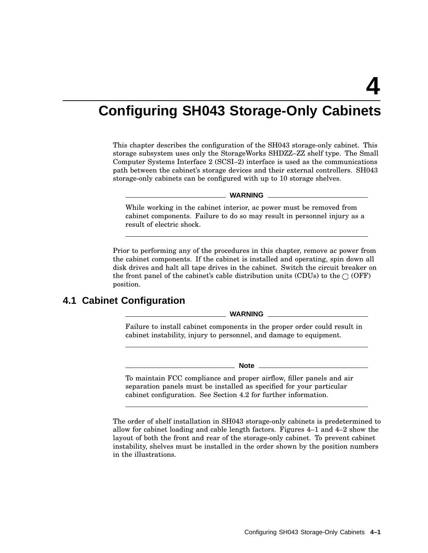# **Configuring SH043 Storage-Only Cabinets**

This chapter describes the configuration of the SH043 storage-only cabinet. This storage subsystem uses only the StorageWorks SHDZZ–ZZ shelf type. The Small Computer Systems Interface 2 (SCSI–2) interface is used as the communications path between the cabinet's storage devices and their external controllers. SH043 storage-only cabinets can be configured with up to 10 storage shelves.

#### **WARNING**

While working in the cabinet interior, ac power must be removed from cabinet components. Failure to do so may result in personnel injury as a result of electric shock.

Prior to performing any of the procedures in this chapter, remove ac power from the cabinet components. If the cabinet is installed and operating, spin down all disk drives and halt all tape drives in the cabinet. Switch the circuit breaker on the front panel of the cabinet's cable distribution units (CDUs) to the  $\bigcirc$  (OFF) position.

# **4.1 Cabinet Configuration**

**WARNING**

Failure to install cabinet components in the proper order could result in cabinet instability, injury to personnel, and damage to equipment.

**Note**

To maintain FCC compliance and proper airflow, filler panels and air separation panels must be installed as specified for your particular cabinet configuration. See Section 4.2 for further information.

The order of shelf installation in SH043 storage-only cabinets is predetermined to allow for cabinet loading and cable length factors. Figures 4–1 and 4–2 show the layout of both the front and rear of the storage-only cabinet. To prevent cabinet instability, shelves must be installed in the order shown by the position numbers in the illustrations.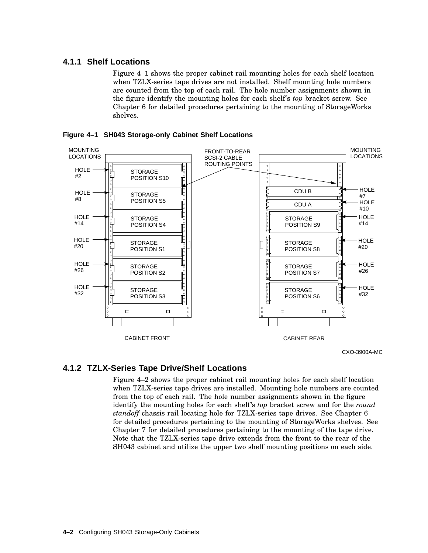## **4.1.1 Shelf Locations**

Figure 4–1 shows the proper cabinet rail mounting holes for each shelf location when TZLX-series tape drives are not installed. Shelf mounting hole numbers are counted from the top of each rail. The hole number assignments shown in the figure identify the mounting holes for each shelf's *top* bracket screw. See Chapter 6 for detailed procedures pertaining to the mounting of StorageWorks shelves.



**Figure 4–1 SH043 Storage-only Cabinet Shelf Locations**

CXO-3900A-MC

## **4.1.2 TZLX-Series Tape Drive/Shelf Locations**

Figure 4–2 shows the proper cabinet rail mounting holes for each shelf location when TZLX-series tape drives are installed. Mounting hole numbers are counted from the top of each rail. The hole number assignments shown in the figure identify the mounting holes for each shelf's *top* bracket screw and for the *round standoff* chassis rail locating hole for TZLX-series tape drives. See Chapter 6 for detailed procedures pertaining to the mounting of StorageWorks shelves. See Chapter 7 for detailed procedures pertaining to the mounting of the tape drive. Note that the TZLX-series tape drive extends from the front to the rear of the SH043 cabinet and utilize the upper two shelf mounting positions on each side.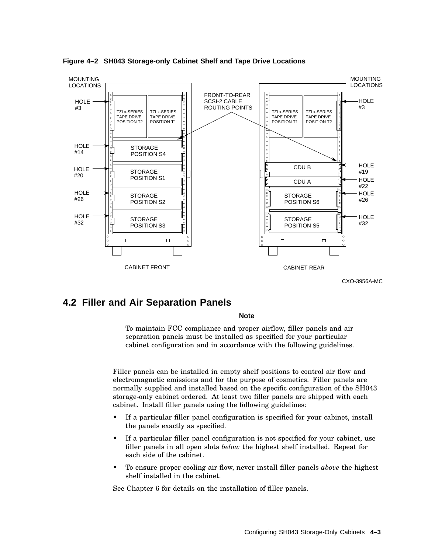

**Figure 4–2 SH043 Storage-only Cabinet Shelf and Tape Drive Locations**

## **4.2 Filler and Air Separation Panels**

**Note**

To maintain FCC compliance and proper airflow, filler panels and air separation panels must be installed as specified for your particular cabinet configuration and in accordance with the following guidelines.

Filler panels can be installed in empty shelf positions to control air flow and electromagnetic emissions and for the purpose of cosmetics. Filler panels are normally supplied and installed based on the specific configuration of the SH043 storage-only cabinet ordered. At least two filler panels are shipped with each cabinet. Install filler panels using the following guidelines:

- If a particular filler panel configuration is specified for your cabinet, install the panels exactly as specified.
- If a particular filler panel configuration is not specified for your cabinet, use filler panels in all open slots *below* the highest shelf installed. Repeat for each side of the cabinet.
- To ensure proper cooling air flow, never install filler panels *above* the highest shelf installed in the cabinet.

See Chapter 6 for details on the installation of filler panels.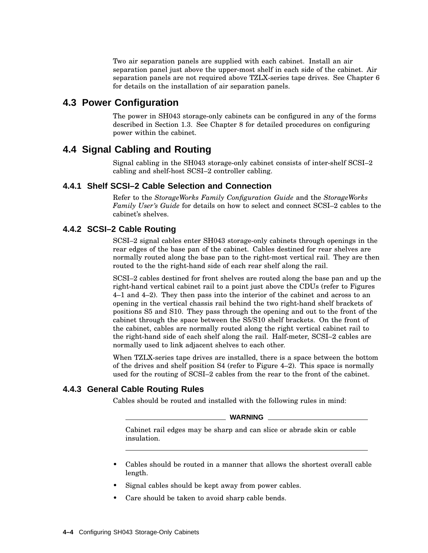Two air separation panels are supplied with each cabinet. Install an air separation panel just above the upper-most shelf in each side of the cabinet. Air separation panels are not required above TZLX-series tape drives. See Chapter 6 for details on the installation of air separation panels.

# **4.3 Power Configuration**

The power in SH043 storage-only cabinets can be configured in any of the forms described in Section 1.3. See Chapter 8 for detailed procedures on configuring power within the cabinet.

# **4.4 Signal Cabling and Routing**

Signal cabling in the SH043 storage-only cabinet consists of inter-shelf SCSI–2 cabling and shelf-host SCSI–2 controller cabling.

## **4.4.1 Shelf SCSI–2 Cable Selection and Connection**

Refer to the *StorageWorks Family Configuration Guide* and the *StorageWorks Family User's Guide* for details on how to select and connect SCSI–2 cables to the cabinet's shelves.

## **4.4.2 SCSI–2 Cable Routing**

SCSI–2 signal cables enter SH043 storage-only cabinets through openings in the rear edges of the base pan of the cabinet. Cables destined for rear shelves are normally routed along the base pan to the right-most vertical rail. They are then routed to the the right-hand side of each rear shelf along the rail.

SCSI–2 cables destined for front shelves are routed along the base pan and up the right-hand vertical cabinet rail to a point just above the CDUs (refer to Figures 4–1 and 4–2). They then pass into the interior of the cabinet and across to an opening in the vertical chassis rail behind the two right-hand shelf brackets of positions S5 and S10. They pass through the opening and out to the front of the cabinet through the space between the S5/S10 shelf brackets. On the front of the cabinet, cables are normally routed along the right vertical cabinet rail to the right-hand side of each shelf along the rail. Half-meter, SCSI–2 cables are normally used to link adjacent shelves to each other.

When TZLX-series tape drives are installed, there is a space between the bottom of the drives and shelf position  $S4$  (refer to Figure 4–2). This space is normally used for the routing of SCSI–2 cables from the rear to the front of the cabinet.

## **4.4.3 General Cable Routing Rules**

Cables should be routed and installed with the following rules in mind:

#### **WARNING**

Cabinet rail edges may be sharp and can slice or abrade skin or cable insulation.

- Cables should be routed in a manner that allows the shortest overall cable length.
- Signal cables should be kept away from power cables.
- Care should be taken to avoid sharp cable bends.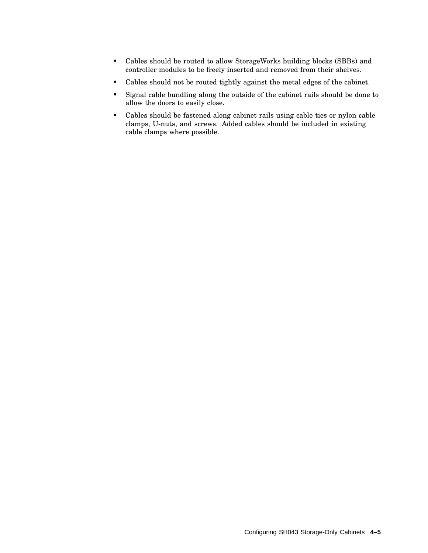- Cables should be routed to allow StorageWorks building blocks (SBBs) and controller modules to be freely inserted and removed from their shelves.
- Cables should not be routed tightly against the metal edges of the cabinet.
- Signal cable bundling along the outside of the cabinet rails should be done to allow the doors to easily close.
- Cables should be fastened along cabinet rails using cable ties or nylon cable clamps, U-nuts, and screws. Added cables should be included in existing cable clamps where possible.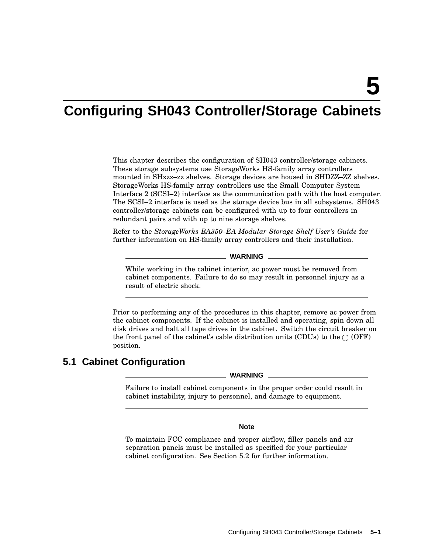# **Configuring SH043 Controller/Storage Cabinets**

This chapter describes the configuration of SH043 controller/storage cabinets. These storage subsystems use StorageWorks HS-family array controllers mounted in SHxzz–zz shelves. Storage devices are housed in SHDZZ–ZZ shelves. StorageWorks HS-family array controllers use the Small Computer System Interface 2 (SCSI–2) interface as the communication path with the host computer. The SCSI–2 interface is used as the storage device bus in all subsystems. SH043 controller/storage cabinets can be configured with up to four controllers in redundant pairs and with up to nine storage shelves.

Refer to the *StorageWorks BA350–EA Modular Storage Shelf User's Guide* for further information on HS-family array controllers and their installation.

**WARNING**

While working in the cabinet interior, ac power must be removed from cabinet components. Failure to do so may result in personnel injury as a result of electric shock.

Prior to performing any of the procedures in this chapter, remove ac power from the cabinet components. If the cabinet is installed and operating, spin down all disk drives and halt all tape drives in the cabinet. Switch the circuit breaker on the front panel of the cabinet's cable distribution units (CDUs) to the  $\bigcirc$  (OFF) position.

# **5.1 Cabinet Configuration**

**WARNING**

Failure to install cabinet components in the proper order could result in cabinet instability, injury to personnel, and damage to equipment.

**Note**

To maintain FCC compliance and proper airflow, filler panels and air separation panels must be installed as specified for your particular cabinet configuration. See Section 5.2 for further information.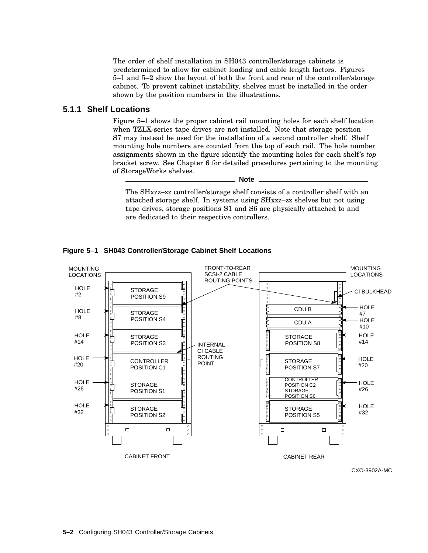The order of shelf installation in SH043 controller/storage cabinets is predetermined to allow for cabinet loading and cable length factors. Figures 5–1 and 5–2 show the layout of both the front and rear of the controller/storage cabinet. To prevent cabinet instability, shelves must be installed in the order shown by the position numbers in the illustrations.

## **5.1.1 Shelf Locations**

Figure 5–1 shows the proper cabinet rail mounting holes for each shelf location when TZLX-series tape drives are not installed. Note that storage position S7 may instead be used for the installation of a second controller shelf. Shelf mounting hole numbers are counted from the top of each rail. The hole number assignments shown in the figure identify the mounting holes for each shelf's *top* bracket screw. See Chapter 6 for detailed procedures pertaining to the mounting of StorageWorks shelves.

**Note**

The SHxzz–zz controller/storage shelf consists of a controller shelf with an attached storage shelf. In systems using SHxzz–zz shelves but not using tape drives, storage positions S1 and S6 are physically attached to and are dedicated to their respective controllers.





CXO-3902A-MC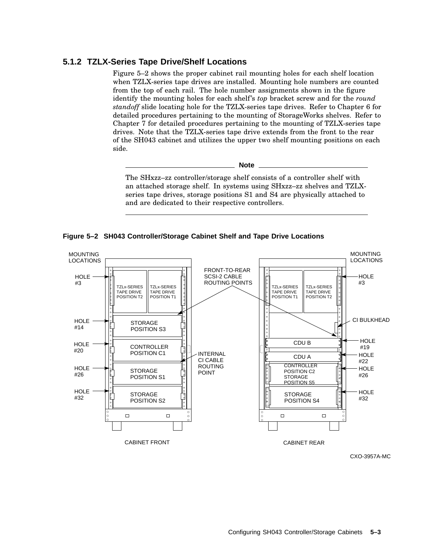## **5.1.2 TZLX-Series Tape Drive/Shelf Locations**

Figure 5–2 shows the proper cabinet rail mounting holes for each shelf location when TZLX-series tape drives are installed. Mounting hole numbers are counted from the top of each rail. The hole number assignments shown in the figure identify the mounting holes for each shelf's *top* bracket screw and for the *round standoff* slide locating hole for the TZLX-series tape drives. Refer to Chapter 6 for detailed procedures pertaining to the mounting of StorageWorks shelves. Refer to Chapter 7 for detailed procedures pertaining to the mounting of TZLX-series tape drives. Note that the TZLX-series tape drive extends from the front to the rear of the SH043 cabinet and utilizes the upper two shelf mounting positions on each side.

**Note**

The SHxzz–zz controller/storage shelf consists of a controller shelf with an attached storage shelf. In systems using SHxzz–zz shelves and TZLXseries tape drives, storage positions S1 and S4 are physically attached to and are dedicated to their respective controllers.

**Figure 5–2 SH043 Controller/Storage Cabinet Shelf and Tape Drive Locations**



CXO-3957A-MC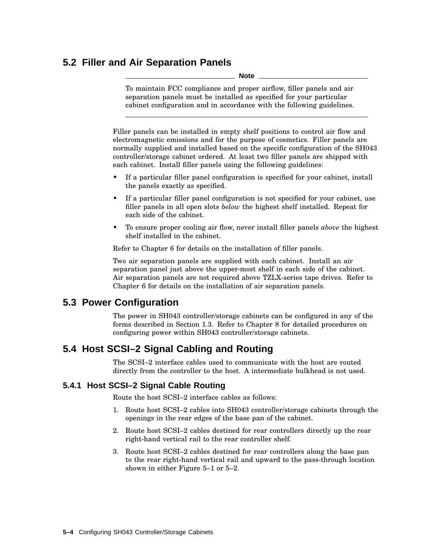# **5.2 Filler and Air Separation Panels**

**Note**

To maintain FCC compliance and proper airflow, filler panels and air separation panels must be installed as specified for your particular cabinet configuration and in accordance with the following guidelines.

Filler panels can be installed in empty shelf positions to control air flow and electromagnetic emissions and for the purpose of cosmetics. Filler panels are normally supplied and installed based on the specific configuration of the SH043 controller/storage cabinet ordered. At least two filler panels are shipped with each cabinet. Install filler panels using the following guidelines:

- If a particular filler panel configuration is specified for your cabinet, install the panels exactly as specified.
- If a particular filler panel configuration is not specified for your cabinet, use filler panels in all open slots *below* the highest shelf installed. Repeat for each side of the cabinet.
- To ensure proper cooling air flow, never install filler panels *above* the highest shelf installed in the cabinet.

Refer to Chapter 6 for details on the installation of filler panels.

Two air separation panels are supplied with each cabinet. Install an air separation panel just above the upper-most shelf in each side of the cabinet. Air separation panels are not required above TZLX-series tape drives. Refer to Chapter 6 for details on the installation of air separation panels.

# **5.3 Power Configuration**

The power in SH043 controller/storage cabinets can be configured in any of the forms described in Section 1.3. Refer to Chapter 8 for detailed procedures on configuring power within SH043 controller/storage cabinets.

# **5.4 Host SCSI–2 Signal Cabling and Routing**

The SCSI–2 interface cables used to communicate with the host are routed directly from the controller to the host. A intermediate bulkhead is not used.

## **5.4.1 Host SCSI–2 Signal Cable Routing**

Route the host SCSI–2 interface cables as follows:

- 1. Route host SCSI–2 cables into SH043 controller/storage cabinets through the openings in the rear edges of the base pan of the cabinet.
- 2. Route host SCSI–2 cables destined for rear controllers directly up the rear right-hand vertical rail to the rear controller shelf.
- 3. Route host SCSI–2 cables destined for rear controllers along the base pan to the rear right-hand vertical rail and upward to the pass-through location shown in either Figure 5–1 or 5–2.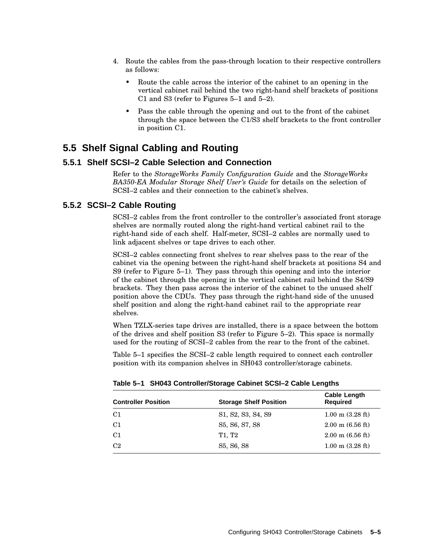- 4. Route the cables from the pass-through location to their respective controllers as follows:
	- Route the cable across the interior of the cabinet to an opening in the vertical cabinet rail behind the two right-hand shelf brackets of positions C1 and S3 (refer to Figures 5–1 and 5–2).
	- Pass the cable through the opening and out to the front of the cabinet through the space between the C1/S3 shelf brackets to the front controller in position C1.

## **5.5 Shelf Signal Cabling and Routing**

## **5.5.1 Shelf SCSI–2 Cable Selection and Connection**

Refer to the *StorageWorks Family Configuration Guide* and the *StorageWorks BA350-EA Modular Storage Shelf User's Guide* for details on the selection of SCSI–2 cables and their connection to the cabinet's shelves.

## **5.5.2 SCSI–2 Cable Routing**

SCSI–2 cables from the front controller to the controller's associated front storage shelves are normally routed along the right-hand vertical cabinet rail to the right-hand side of each shelf. Half-meter, SCSI–2 cables are normally used to link adjacent shelves or tape drives to each other.

SCSI–2 cables connecting front shelves to rear shelves pass to the rear of the cabinet via the opening between the right-hand shelf brackets at positions S4 and S9 (refer to Figure 5–1). They pass through this opening and into the interior of the cabinet through the opening in the vertical cabinet rail behind the S4/S9 brackets. They then pass across the interior of the cabinet to the unused shelf position above the CDUs. They pass through the right-hand side of the unused shelf position and along the right-hand cabinet rail to the appropriate rear shelves.

When TZLX-series tape drives are installed, there is a space between the bottom of the drives and shelf position S3 (refer to Figure 5–2). This space is normally used for the routing of SCSI–2 cables from the rear to the front of the cabinet.

Table 5–1 specifies the SCSI–2 cable length required to connect each controller position with its companion shelves in SH043 controller/storage cabinets.

| <b>Controller Position</b> | <b>Storage Shelf Position</b>                                                      | <b>Cable Length</b><br><b>Required</b> |
|----------------------------|------------------------------------------------------------------------------------|----------------------------------------|
| C1                         | S <sub>1</sub> , S <sub>2</sub> , S <sub>3</sub> , S <sub>4</sub> , S <sub>9</sub> | $1.00 \text{ m}$ (3.28 ft)             |
| C1                         | S5, S6, S7, S8                                                                     | $2.00 \text{ m}$ (6.56 ft)             |
| C <sub>1</sub>             | T1, T2                                                                             | $2.00 \text{ m}$ (6.56 ft)             |
| C2                         | S <sub>5</sub> , S <sub>6</sub> , S <sub>8</sub>                                   | $1.00 \text{ m}$ (3.28 ft)             |

**Table 5–1 SH043 Controller/Storage Cabinet SCSI–2 Cable Lengths**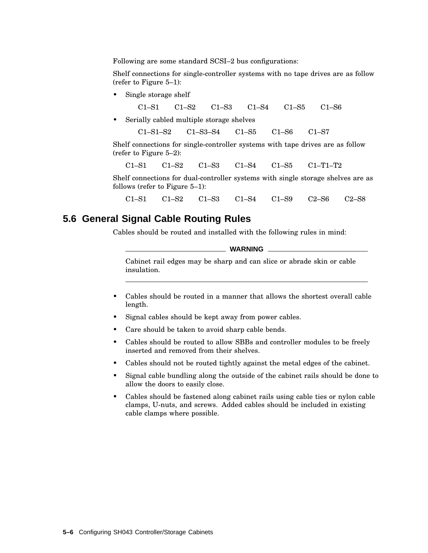Following are some standard SCSI–2 bus configurations:

Shelf connections for single-controller systems with no tape drives are as follow (refer to Figure 5–1):

Single storage shelf

C1–S1 C1–S2 C1–S3 C1–S4 C1–S5 C1–S6

Serially cabled multiple storage shelves

C1–S1–S2 C1–S3–S4 C1–S5 C1–S6 C1–S7

Shelf connections for single-controller systems with tape drives are as follow (refer to Figure 5–2):

C1–S1 C1–S2 C1–S3 C1–S4 C1–S5 C1–T1–T2

Shelf connections for dual-controller systems with single storage shelves are as follows (refer to Figure 5–1):

C1–S1 C1–S2 C1–S3 C1–S4 C1–S9 C2–S6 C2–S8

## **5.6 General Signal Cable Routing Rules**

Cables should be routed and installed with the following rules in mind:

**WARNING**

Cabinet rail edges may be sharp and can slice or abrade skin or cable insulation.

- Cables should be routed in a manner that allows the shortest overall cable length.
- Signal cables should be kept away from power cables.
- Care should be taken to avoid sharp cable bends.
- Cables should be routed to allow SBBs and controller modules to be freely inserted and removed from their shelves.
- Cables should not be routed tightly against the metal edges of the cabinet.
- Signal cable bundling along the outside of the cabinet rails should be done to allow the doors to easily close.
- Cables should be fastened along cabinet rails using cable ties or nylon cable clamps, U-nuts, and screws. Added cables should be included in existing cable clamps where possible.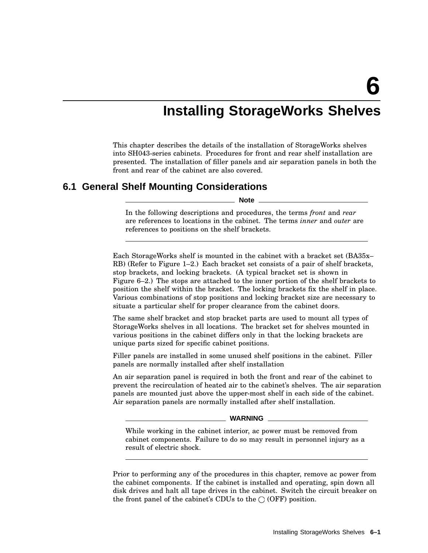# **Installing StorageWorks Shelves**

This chapter describes the details of the installation of StorageWorks shelves into SH043-series cabinets. Procedures for front and rear shelf installation are presented. The installation of filler panels and air separation panels in both the front and rear of the cabinet are also covered.

## **6.1 General Shelf Mounting Considerations**

**Note**

In the following descriptions and procedures, the terms *front* and *rear* are references to locations in the cabinet. The terms *inner* and *outer* are references to positions on the shelf brackets.

Each StorageWorks shelf is mounted in the cabinet with a bracket set (BA35x– RB) (Refer to Figure 1–2.) Each bracket set consists of a pair of shelf brackets, stop brackets, and locking brackets. (A typical bracket set is shown in Figure 6–2.) The stops are attached to the inner portion of the shelf brackets to position the shelf within the bracket. The locking brackets fix the shelf in place. Various combinations of stop positions and locking bracket size are necessary to situate a particular shelf for proper clearance from the cabinet doors.

The same shelf bracket and stop bracket parts are used to mount all types of StorageWorks shelves in all locations. The bracket set for shelves mounted in various positions in the cabinet differs only in that the locking brackets are unique parts sized for specific cabinet positions.

Filler panels are installed in some unused shelf positions in the cabinet. Filler panels are normally installed after shelf installation

An air separation panel is required in both the front and rear of the cabinet to prevent the recirculation of heated air to the cabinet's shelves. The air separation panels are mounted just above the upper-most shelf in each side of the cabinet. Air separation panels are normally installed after shelf installation.

#### **WARNING**

While working in the cabinet interior, ac power must be removed from cabinet components. Failure to do so may result in personnel injury as a result of electric shock.

Prior to performing any of the procedures in this chapter, remove ac power from the cabinet components. If the cabinet is installed and operating, spin down all disk drives and halt all tape drives in the cabinet. Switch the circuit breaker on the front panel of the cabinet's CDUs to the  $\bigcirc$  (OFF) position.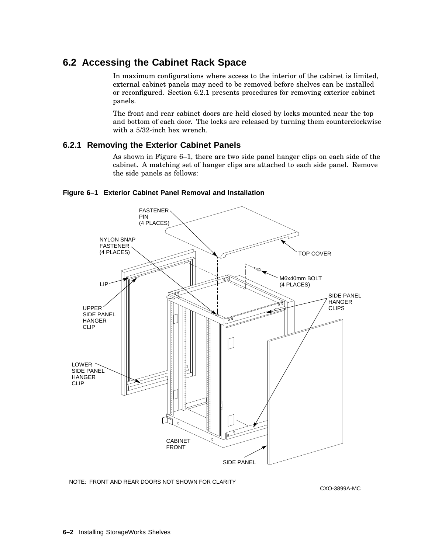# **6.2 Accessing the Cabinet Rack Space**

In maximum configurations where access to the interior of the cabinet is limited, external cabinet panels may need to be removed before shelves can be installed or reconfigured. Section 6.2.1 presents procedures for removing exterior cabinet panels.

The front and rear cabinet doors are held closed by locks mounted near the top and bottom of each door. The locks are released by turning them counterclockwise with a 5/32-inch hex wrench.

## **6.2.1 Removing the Exterior Cabinet Panels**

As shown in Figure 6–1, there are two side panel hanger clips on each side of the cabinet. A matching set of hanger clips are attached to each side panel. Remove the side panels as follows:



#### **Figure 6–1 Exterior Cabinet Panel Removal and Installation**

NOTE: FRONT AND REAR DOORS NOT SHOWN FOR CLARITY

CXO-3899A-MC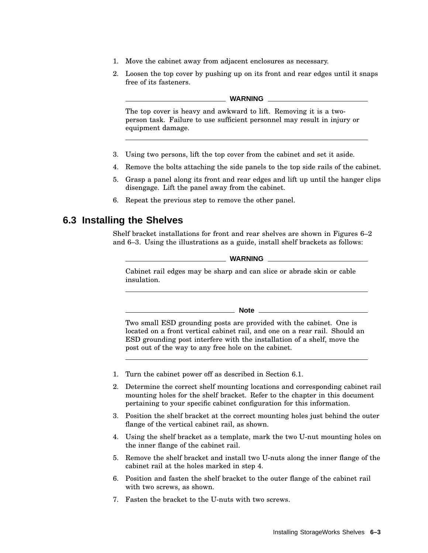- 1. Move the cabinet away from adjacent enclosures as necessary.
- 2. Loosen the top cover by pushing up on its front and rear edges until it snaps free of its fasteners.

#### **WARNING**

The top cover is heavy and awkward to lift. Removing it is a twoperson task. Failure to use sufficient personnel may result in injury or equipment damage.

- 3. Using two persons, lift the top cover from the cabinet and set it aside.
- 4. Remove the bolts attaching the side panels to the top side rails of the cabinet.
- 5. Grasp a panel along its front and rear edges and lift up until the hanger clips disengage. Lift the panel away from the cabinet.
- 6. Repeat the previous step to remove the other panel.

## **6.3 Installing the Shelves**

Shelf bracket installations for front and rear shelves are shown in Figures 6–2 and 6–3. Using the illustrations as a guide, install shelf brackets as follows:

**WARNING**

Cabinet rail edges may be sharp and can slice or abrade skin or cable insulation.

**Note**

Two small ESD grounding posts are provided with the cabinet. One is located on a front vertical cabinet rail, and one on a rear rail. Should an ESD grounding post interfere with the installation of a shelf, move the post out of the way to any free hole on the cabinet.

- 1. Turn the cabinet power off as described in Section 6.1.
- 2. Determine the correct shelf mounting locations and corresponding cabinet rail mounting holes for the shelf bracket. Refer to the chapter in this document pertaining to your specific cabinet configuration for this information.
- 3. Position the shelf bracket at the correct mounting holes just behind the outer flange of the vertical cabinet rail, as shown.
- 4. Using the shelf bracket as a template, mark the two U-nut mounting holes on the inner flange of the cabinet rail.
- 5. Remove the shelf bracket and install two U-nuts along the inner flange of the cabinet rail at the holes marked in step 4.
- 6. Position and fasten the shelf bracket to the outer flange of the cabinet rail with two screws, as shown.
- 7. Fasten the bracket to the U-nuts with two screws.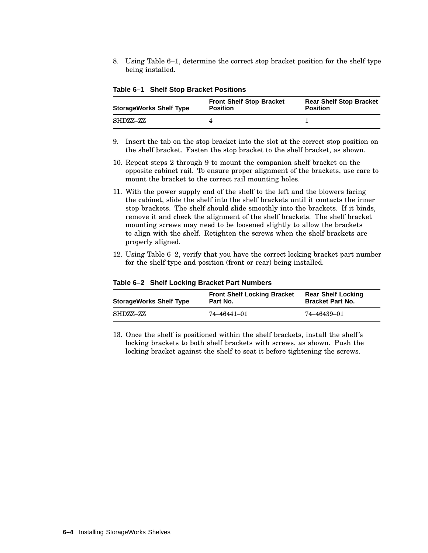8. Using Table 6–1, determine the correct stop bracket position for the shelf type being installed.

| <b>StorageWorks Shelf Type</b> | <b>Front Shelf Stop Bracket</b><br><b>Position</b> | <b>Rear Shelf Stop Bracket</b><br><b>Position</b> |
|--------------------------------|----------------------------------------------------|---------------------------------------------------|
| SHDZZ–ZZ                       |                                                    |                                                   |

**Table 6–1 Shelf Stop Bracket Positions**

- 9. Insert the tab on the stop bracket into the slot at the correct stop position on the shelf bracket. Fasten the stop bracket to the shelf bracket, as shown.
- 10. Repeat steps 2 through 9 to mount the companion shelf bracket on the opposite cabinet rail. To ensure proper alignment of the brackets, use care to mount the bracket to the correct rail mounting holes.
- 11. With the power supply end of the shelf to the left and the blowers facing the cabinet, slide the shelf into the shelf brackets until it contacts the inner stop brackets. The shelf should slide smoothly into the brackets. If it binds, remove it and check the alignment of the shelf brackets. The shelf bracket mounting screws may need to be loosened slightly to allow the brackets to align with the shelf. Retighten the screws when the shelf brackets are properly aligned.
- 12. Using Table 6–2, verify that you have the correct locking bracket part number for the shelf type and position (front or rear) being installed.

| <b>StorageWorks Shelf Type</b> | <b>Front Shelf Locking Bracket</b><br>Part No. | <b>Rear Shelf Locking</b><br><b>Bracket Part No.</b> |
|--------------------------------|------------------------------------------------|------------------------------------------------------|
| SHDZZ–ZZ                       | 74–46441–01                                    | 74–46439–01                                          |

**Table 6–2 Shelf Locking Bracket Part Numbers**

13. Once the shelf is positioned within the shelf brackets, install the shelf's locking brackets to both shelf brackets with screws, as shown. Push the locking bracket against the shelf to seat it before tightening the screws.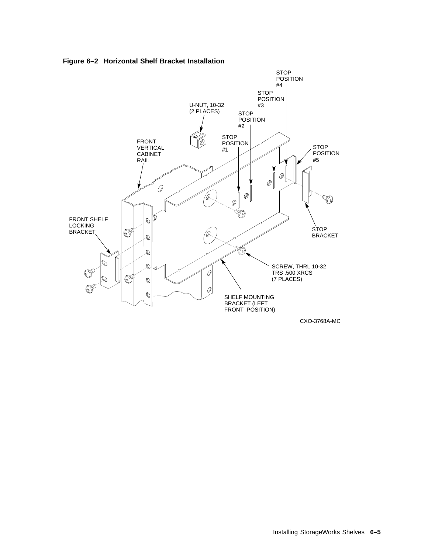

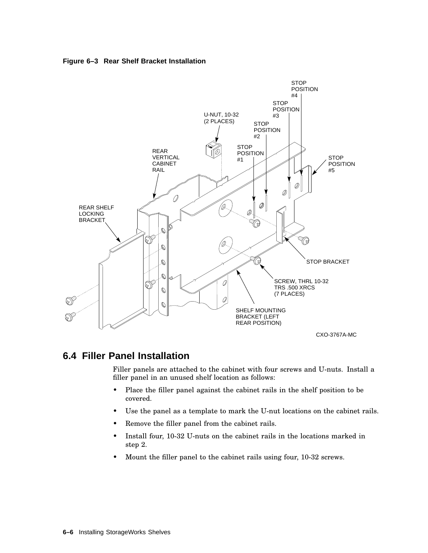



# **6.4 Filler Panel Installation**

Filler panels are attached to the cabinet with four screws and U-nuts. Install a filler panel in an unused shelf location as follows:

- Place the filler panel against the cabinet rails in the shelf position to be covered.
- Use the panel as a template to mark the U-nut locations on the cabinet rails.
- Remove the filler panel from the cabinet rails.
- Install four, 10-32 U-nuts on the cabinet rails in the locations marked in step 2.
- Mount the filler panel to the cabinet rails using four, 10-32 screws.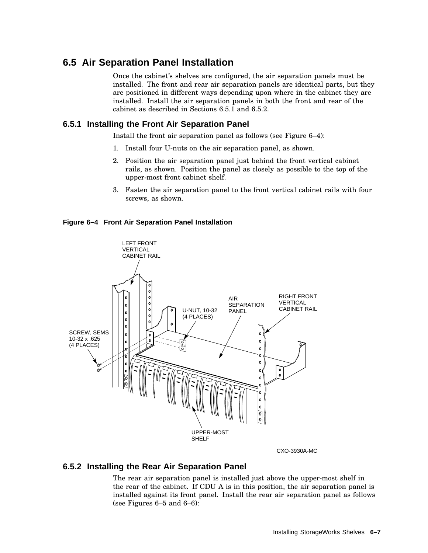# **6.5 Air Separation Panel Installation**

Once the cabinet's shelves are configured, the air separation panels must be installed. The front and rear air separation panels are identical parts, but they are positioned in different ways depending upon where in the cabinet they are installed. Install the air separation panels in both the front and rear of the cabinet as described in Sections 6.5.1 and 6.5.2.

## **6.5.1 Installing the Front Air Separation Panel**

Install the front air separation panel as follows (see Figure 6–4):

- 1. Install four U-nuts on the air separation panel, as shown.
- 2. Position the air separation panel just behind the front vertical cabinet rails, as shown. Position the panel as closely as possible to the top of the upper-most front cabinet shelf.
- 3. Fasten the air separation panel to the front vertical cabinet rails with four screws, as shown.

#### **Figure 6–4 Front Air Separation Panel Installation**



## **6.5.2 Installing the Rear Air Separation Panel**

The rear air separation panel is installed just above the upper-most shelf in the rear of the cabinet. If CDU A is in this position, the air separation panel is installed against its front panel. Install the rear air separation panel as follows (see Figures 6–5 and 6–6):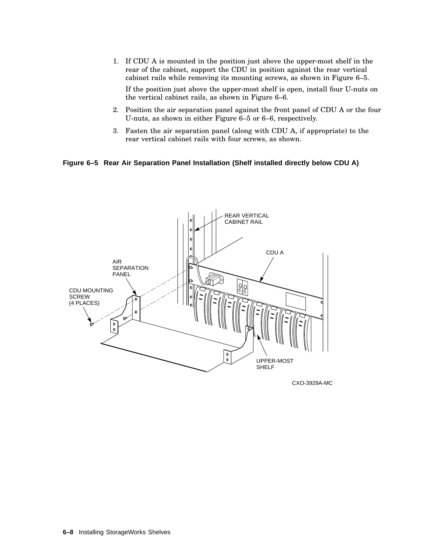1. If CDU A is mounted in the position just above the upper-most shelf in the rear of the cabinet, support the CDU in position against the rear vertical cabinet rails while removing its mounting screws, as shown in Figure 6–5.

If the position just above the upper-most shelf is open, install four U-nuts on the vertical cabinet rails, as shown in Figure 6–6.

- 2. Position the air separation panel against the front panel of CDU A or the four U-nuts, as shown in either Figure 6–5 or 6–6, respectively.
- 3. Fasten the air separation panel (along with CDU A, if appropriate) to the rear vertical cabinet rails with four screws, as shown.

#### **Figure 6–5 Rear Air Separation Panel Installation (Shelf installed directly below CDU A)**



CXO-3929A-MC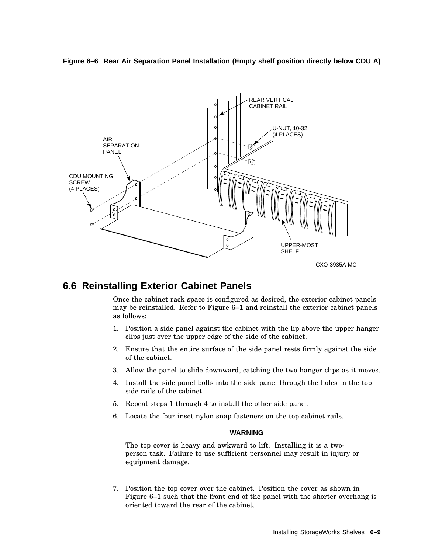



# **6.6 Reinstalling Exterior Cabinet Panels**

Once the cabinet rack space is configured as desired, the exterior cabinet panels may be reinstalled. Refer to Figure 6–1 and reinstall the exterior cabinet panels as follows:

- 1. Position a side panel against the cabinet with the lip above the upper hanger clips just over the upper edge of the side of the cabinet.
- 2. Ensure that the entire surface of the side panel rests firmly against the side of the cabinet.
- 3. Allow the panel to slide downward, catching the two hanger clips as it moves.
- 4. Install the side panel bolts into the side panel through the holes in the top side rails of the cabinet.
- 5. Repeat steps 1 through 4 to install the other side panel.
- 6. Locate the four inset nylon snap fasteners on the top cabinet rails.

#### **WARNING**

The top cover is heavy and awkward to lift. Installing it is a twoperson task. Failure to use sufficient personnel may result in injury or equipment damage.

7. Position the top cover over the cabinet. Position the cover as shown in Figure 6–1 such that the front end of the panel with the shorter overhang is oriented toward the rear of the cabinet.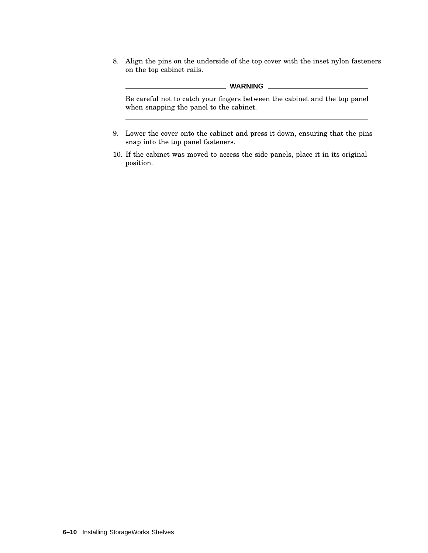8. Align the pins on the underside of the top cover with the inset nylon fasteners on the top cabinet rails.

#### **WARNING**

Be careful not to catch your fingers between the cabinet and the top panel when snapping the panel to the cabinet.

- 9. Lower the cover onto the cabinet and press it down, ensuring that the pins snap into the top panel fasteners.
- 10. If the cabinet was moved to access the side panels, place it in its original position.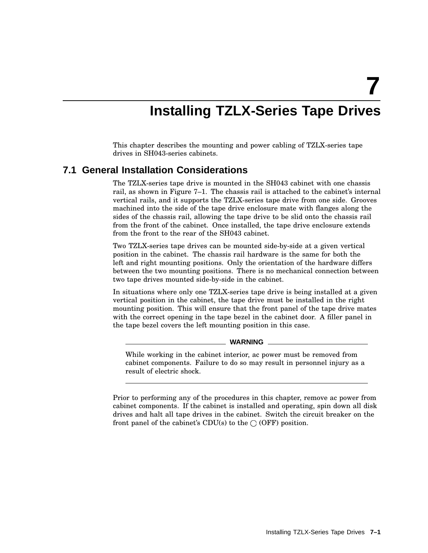**7**

# **Installing TZLX-Series Tape Drives**

This chapter describes the mounting and power cabling of TZLX-series tape drives in SH043-series cabinets.

## **7.1 General Installation Considerations**

The TZLX-series tape drive is mounted in the SH043 cabinet with one chassis rail, as shown in Figure 7–1. The chassis rail is attached to the cabinet's internal vertical rails, and it supports the TZLX-series tape drive from one side. Grooves machined into the side of the tape drive enclosure mate with flanges along the sides of the chassis rail, allowing the tape drive to be slid onto the chassis rail from the front of the cabinet. Once installed, the tape drive enclosure extends from the front to the rear of the SH043 cabinet.

Two TZLX-series tape drives can be mounted side-by-side at a given vertical position in the cabinet. The chassis rail hardware is the same for both the left and right mounting positions. Only the orientation of the hardware differs between the two mounting positions. There is no mechanical connection between two tape drives mounted side-by-side in the cabinet.

In situations where only one TZLX-series tape drive is being installed at a given vertical position in the cabinet, the tape drive must be installed in the right mounting position. This will ensure that the front panel of the tape drive mates with the correct opening in the tape bezel in the cabinet door. A filler panel in the tape bezel covers the left mounting position in this case.

#### **WARNING**

While working in the cabinet interior, ac power must be removed from cabinet components. Failure to do so may result in personnel injury as a result of electric shock.

Prior to performing any of the procedures in this chapter, remove ac power from cabinet components. If the cabinet is installed and operating, spin down all disk drives and halt all tape drives in the cabinet. Switch the circuit breaker on the front panel of the cabinet's CDU(s) to the  $\bigcirc$  (OFF) position.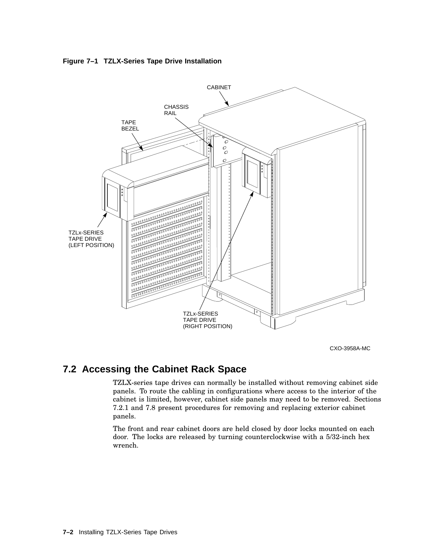



CXO-3958A-MC

# **7.2 Accessing the Cabinet Rack Space**

TZLX-series tape drives can normally be installed without removing cabinet side panels. To route the cabling in configurations where access to the interior of the cabinet is limited, however, cabinet side panels may need to be removed. Sections 7.2.1 and 7.8 present procedures for removing and replacing exterior cabinet panels.

The front and rear cabinet doors are held closed by door locks mounted on each door. The locks are released by turning counterclockwise with a 5/32-inch hex wrench.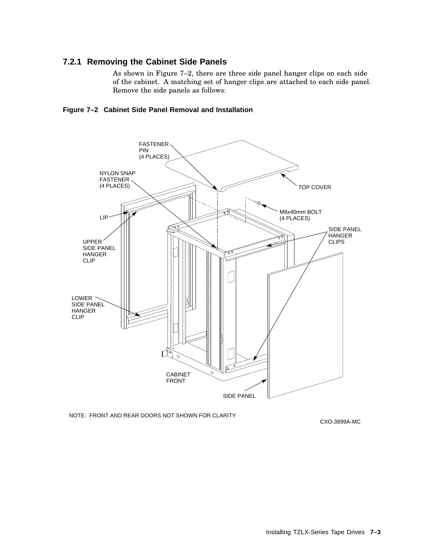## **7.2.1 Removing the Cabinet Side Panels**

As shown in Figure 7–2, there are three side panel hanger clips on each side of the cabinet. A matching set of hanger clips are attached to each side panel. Remove the side panels as follows:





NOTE: FRONT AND REAR DOORS NOT SHOWN FOR CLARITY

CXO-3899A-MC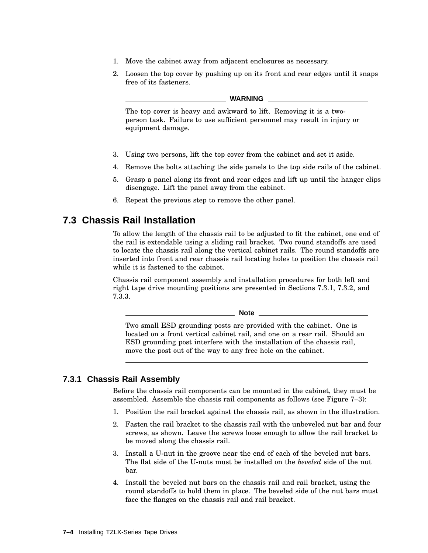- 1. Move the cabinet away from adjacent enclosures as necessary.
- 2. Loosen the top cover by pushing up on its front and rear edges until it snaps free of its fasteners.

#### **WARNING**

The top cover is heavy and awkward to lift. Removing it is a twoperson task. Failure to use sufficient personnel may result in injury or equipment damage.

- 3. Using two persons, lift the top cover from the cabinet and set it aside.
- 4. Remove the bolts attaching the side panels to the top side rails of the cabinet.
- 5. Grasp a panel along its front and rear edges and lift up until the hanger clips disengage. Lift the panel away from the cabinet.
- 6. Repeat the previous step to remove the other panel.

## **7.3 Chassis Rail Installation**

To allow the length of the chassis rail to be adjusted to fit the cabinet, one end of the rail is extendable using a sliding rail bracket. Two round standoffs are used to locate the chassis rail along the vertical cabinet rails. The round standoffs are inserted into front and rear chassis rail locating holes to position the chassis rail while it is fastened to the cabinet.

Chassis rail component assembly and installation procedures for both left and right tape drive mounting positions are presented in Sections 7.3.1, 7.3.2, and 7.3.3.

**Note**

Two small ESD grounding posts are provided with the cabinet. One is located on a front vertical cabinet rail, and one on a rear rail. Should an ESD grounding post interfere with the installation of the chassis rail, move the post out of the way to any free hole on the cabinet.

## **7.3.1 Chassis Rail Assembly**

Before the chassis rail components can be mounted in the cabinet, they must be assembled. Assemble the chassis rail components as follows (see Figure 7–3):

- 1. Position the rail bracket against the chassis rail, as shown in the illustration.
- 2. Fasten the rail bracket to the chassis rail with the unbeveled nut bar and four screws, as shown. Leave the screws loose enough to allow the rail bracket to be moved along the chassis rail.
- 3. Install a U-nut in the groove near the end of each of the beveled nut bars. The flat side of the U-nuts must be installed on the *beveled* side of the nut bar.
- 4. Install the beveled nut bars on the chassis rail and rail bracket, using the round standoffs to hold them in place. The beveled side of the nut bars must face the flanges on the chassis rail and rail bracket.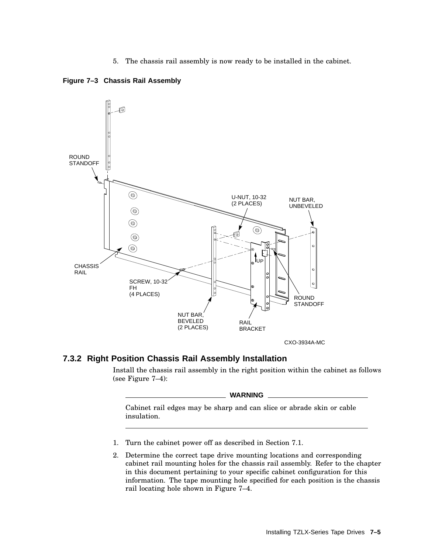5. The chassis rail assembly is now ready to be installed in the cabinet.





## **7.3.2 Right Position Chassis Rail Assembly Installation**

Install the chassis rail assembly in the right position within the cabinet as follows (see Figure 7–4):

#### **WARNING**

Cabinet rail edges may be sharp and can slice or abrade skin or cable insulation.

- 1. Turn the cabinet power off as described in Section 7.1.
- 2. Determine the correct tape drive mounting locations and corresponding cabinet rail mounting holes for the chassis rail assembly. Refer to the chapter in this document pertaining to your specific cabinet configuration for this information. The tape mounting hole specified for each position is the chassis rail locating hole shown in Figure 7–4.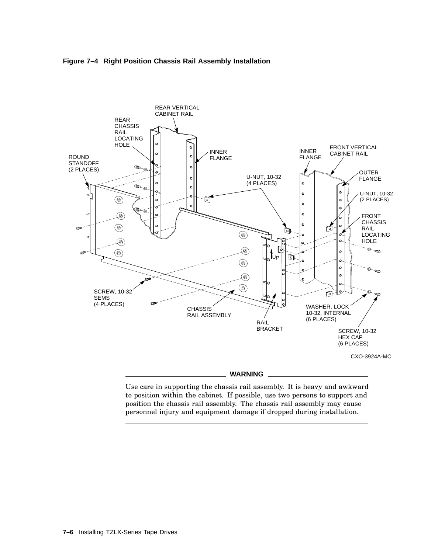



#### **WARNING**

Use care in supporting the chassis rail assembly. It is heavy and awkward to position within the cabinet. If possible, use two persons to support and position the chassis rail assembly. The chassis rail assembly may cause personnel injury and equipment damage if dropped during installation.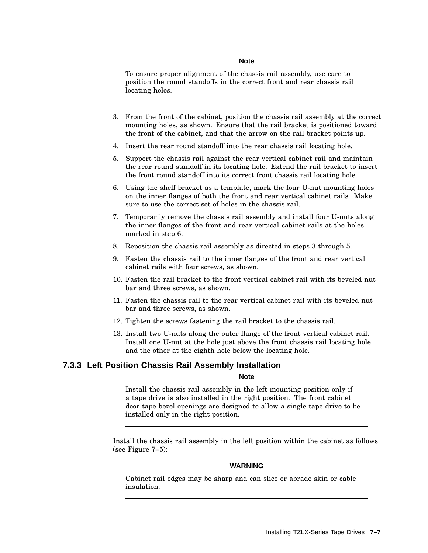**Note**

To ensure proper alignment of the chassis rail assembly, use care to position the round standoffs in the correct front and rear chassis rail locating holes.

- 3. From the front of the cabinet, position the chassis rail assembly at the correct mounting holes, as shown. Ensure that the rail bracket is positioned toward the front of the cabinet, and that the arrow on the rail bracket points up.
- 4. Insert the rear round standoff into the rear chassis rail locating hole.
- 5. Support the chassis rail against the rear vertical cabinet rail and maintain the rear round standoff in its locating hole. Extend the rail bracket to insert the front round standoff into its correct front chassis rail locating hole.
- 6. Using the shelf bracket as a template, mark the four U-nut mounting holes on the inner flanges of both the front and rear vertical cabinet rails. Make sure to use the correct set of holes in the chassis rail.
- 7. Temporarily remove the chassis rail assembly and install four U-nuts along the inner flanges of the front and rear vertical cabinet rails at the holes marked in step 6.
- 8. Reposition the chassis rail assembly as directed in steps 3 through 5.
- 9. Fasten the chassis rail to the inner flanges of the front and rear vertical cabinet rails with four screws, as shown.
- 10. Fasten the rail bracket to the front vertical cabinet rail with its beveled nut bar and three screws, as shown.
- 11. Fasten the chassis rail to the rear vertical cabinet rail with its beveled nut bar and three screws, as shown.
- 12. Tighten the screws fastening the rail bracket to the chassis rail.
- 13. Install two U-nuts along the outer flange of the front vertical cabinet rail. Install one U-nut at the hole just above the front chassis rail locating hole and the other at the eighth hole below the locating hole.

## **7.3.3 Left Position Chassis Rail Assembly Installation**

#### **Note**

Install the chassis rail assembly in the left mounting position only if a tape drive is also installed in the right position. The front cabinet door tape bezel openings are designed to allow a single tape drive to be installed only in the right position.

Install the chassis rail assembly in the left position within the cabinet as follows (see Figure 7–5):

#### **WARNING**

Cabinet rail edges may be sharp and can slice or abrade skin or cable insulation.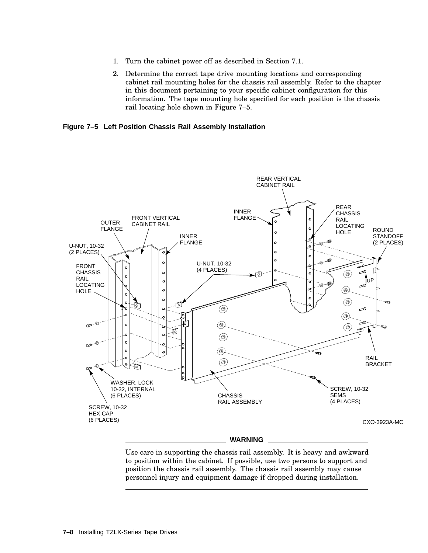- 1. Turn the cabinet power off as described in Section 7.1.
- 2. Determine the correct tape drive mounting locations and corresponding cabinet rail mounting holes for the chassis rail assembly. Refer to the chapter in this document pertaining to your specific cabinet configuration for this information. The tape mounting hole specified for each position is the chassis rail locating hole shown in Figure 7–5.

**Figure 7–5 Left Position Chassis Rail Assembly Installation**



Use care in supporting the chassis rail assembly. It is heavy and awkward to position within the cabinet. If possible, use two persons to support and position the chassis rail assembly. The chassis rail assembly may cause personnel injury and equipment damage if dropped during installation.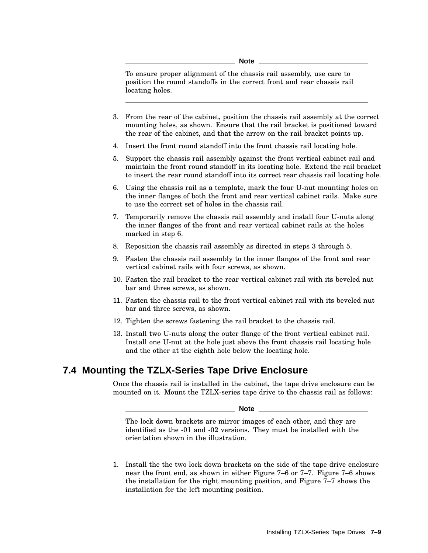**Note**

To ensure proper alignment of the chassis rail assembly, use care to position the round standoffs in the correct front and rear chassis rail locating holes.

- 3. From the rear of the cabinet, position the chassis rail assembly at the correct mounting holes, as shown. Ensure that the rail bracket is positioned toward the rear of the cabinet, and that the arrow on the rail bracket points up.
- 4. Insert the front round standoff into the front chassis rail locating hole.
- 5. Support the chassis rail assembly against the front vertical cabinet rail and maintain the front round standoff in its locating hole. Extend the rail bracket to insert the rear round standoff into its correct rear chassis rail locating hole.
- 6. Using the chassis rail as a template, mark the four U-nut mounting holes on the inner flanges of both the front and rear vertical cabinet rails. Make sure to use the correct set of holes in the chassis rail.
- 7. Temporarily remove the chassis rail assembly and install four U-nuts along the inner flanges of the front and rear vertical cabinet rails at the holes marked in step 6.
- 8. Reposition the chassis rail assembly as directed in steps 3 through 5.
- 9. Fasten the chassis rail assembly to the inner flanges of the front and rear vertical cabinet rails with four screws, as shown.
- 10. Fasten the rail bracket to the rear vertical cabinet rail with its beveled nut bar and three screws, as shown.
- 11. Fasten the chassis rail to the front vertical cabinet rail with its beveled nut bar and three screws, as shown.
- 12. Tighten the screws fastening the rail bracket to the chassis rail.
- 13. Install two U-nuts along the outer flange of the front vertical cabinet rail. Install one U-nut at the hole just above the front chassis rail locating hole and the other at the eighth hole below the locating hole.

## **7.4 Mounting the TZLX-Series Tape Drive Enclosure**

Once the chassis rail is installed in the cabinet, the tape drive enclosure can be mounted on it. Mount the TZLX-series tape drive to the chassis rail as follows:

**Note**

The lock down brackets are mirror images of each other, and they are identified as the -01 and -02 versions. They must be installed with the orientation shown in the illustration.

1. Install the the two lock down brackets on the side of the tape drive enclosure near the front end, as shown in either Figure 7–6 or 7–7. Figure 7–6 shows the installation for the right mounting position, and Figure 7–7 shows the installation for the left mounting position.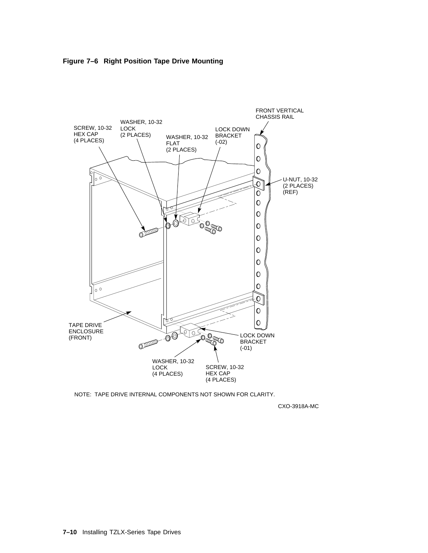



NOTE: TAPE DRIVE INTERNAL COMPONENTS NOT SHOWN FOR CLARITY.

CXO-3918A-MC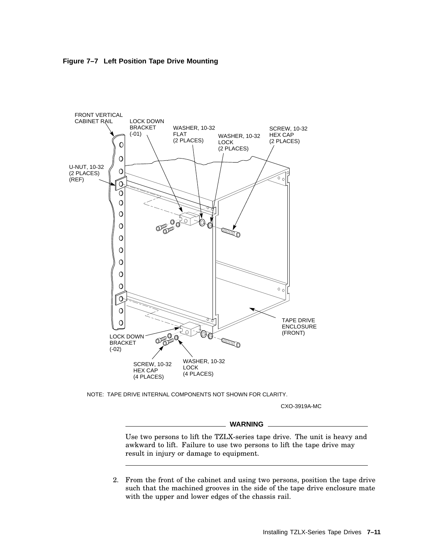



NOTE: TAPE DRIVE INTERNAL COMPONENTS NOT SHOWN FOR CLARITY.

CXO-3919A-MC

#### **WARNING**

Use two persons to lift the TZLX-series tape drive. The unit is heavy and awkward to lift. Failure to use two persons to lift the tape drive may result in injury or damage to equipment.

2. From the front of the cabinet and using two persons, position the tape drive such that the machined grooves in the side of the tape drive enclosure mate with the upper and lower edges of the chassis rail.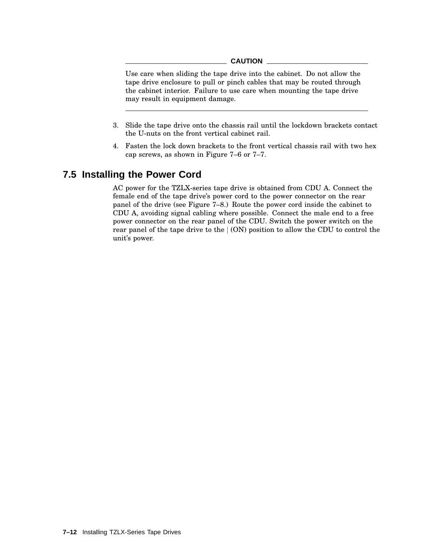#### **CAUTION**

Use care when sliding the tape drive into the cabinet. Do not allow the tape drive enclosure to pull or pinch cables that may be routed through the cabinet interior. Failure to use care when mounting the tape drive may result in equipment damage.

- 3. Slide the tape drive onto the chassis rail until the lockdown brackets contact the U-nuts on the front vertical cabinet rail.
- 4. Fasten the lock down brackets to the front vertical chassis rail with two hex cap screws, as shown in Figure 7–6 or 7–7.

## **7.5 Installing the Power Cord**

AC power for the TZLX-series tape drive is obtained from CDU A. Connect the female end of the tape drive's power cord to the power connector on the rear panel of the drive (see Figure 7–8.) Route the power cord inside the cabinet to CDU A, avoiding signal cabling where possible. Connect the male end to a free power connector on the rear panel of the CDU. Switch the power switch on the rear panel of the tape drive to the  $(ON)$  position to allow the CDU to control the unit's power.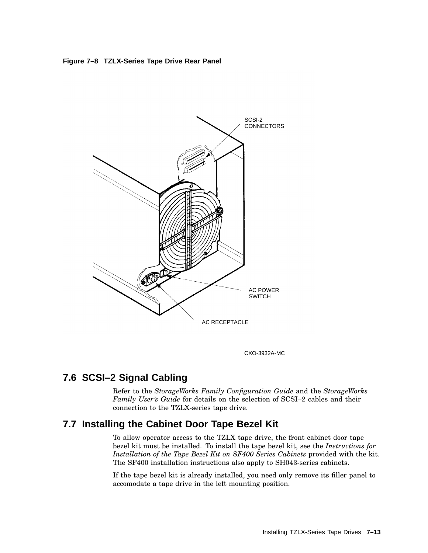**Figure 7–8 TZLX-Series Tape Drive Rear Panel**



CXO-3932A-MC

# **7.6 SCSI–2 Signal Cabling**

Refer to the *StorageWorks Family Configuration Guide* and the *StorageWorks Family User's Guide* for details on the selection of SCSI–2 cables and their connection to the TZLX-series tape drive.

## **7.7 Installing the Cabinet Door Tape Bezel Kit**

To allow operator access to the TZLX tape drive, the front cabinet door tape bezel kit must be installed. To install the tape bezel kit, see the *Instructions for Installation of the Tape Bezel Kit on SF400 Series Cabinets* provided with the kit. The SF400 installation instructions also apply to SH043-series cabinets.

If the tape bezel kit is already installed, you need only remove its filler panel to accomodate a tape drive in the left mounting position.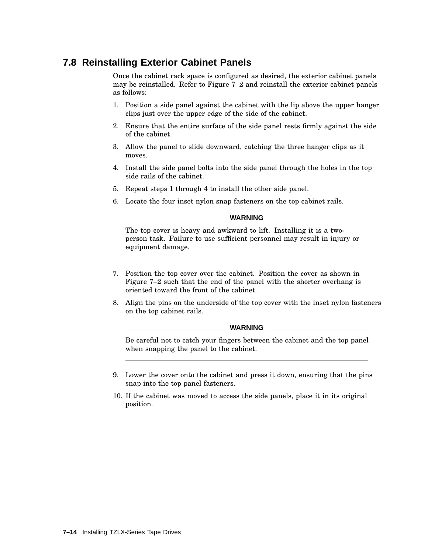# **7.8 Reinstalling Exterior Cabinet Panels**

Once the cabinet rack space is configured as desired, the exterior cabinet panels may be reinstalled. Refer to Figure 7–2 and reinstall the exterior cabinet panels as follows:

- 1. Position a side panel against the cabinet with the lip above the upper hanger clips just over the upper edge of the side of the cabinet.
- 2. Ensure that the entire surface of the side panel rests firmly against the side of the cabinet.
- 3. Allow the panel to slide downward, catching the three hanger clips as it moves.
- 4. Install the side panel bolts into the side panel through the holes in the top side rails of the cabinet.
- 5. Repeat steps 1 through 4 to install the other side panel.
- 6. Locate the four inset nylon snap fasteners on the top cabinet rails.

**WARNING**

The top cover is heavy and awkward to lift. Installing it is a twoperson task. Failure to use sufficient personnel may result in injury or equipment damage.

- 7. Position the top cover over the cabinet. Position the cover as shown in Figure 7–2 such that the end of the panel with the shorter overhang is oriented toward the front of the cabinet.
- 8. Align the pins on the underside of the top cover with the inset nylon fasteners on the top cabinet rails.

**WARNING**

Be careful not to catch your fingers between the cabinet and the top panel when snapping the panel to the cabinet.

- 9. Lower the cover onto the cabinet and press it down, ensuring that the pins snap into the top panel fasteners.
- 10. If the cabinet was moved to access the side panels, place it in its original position.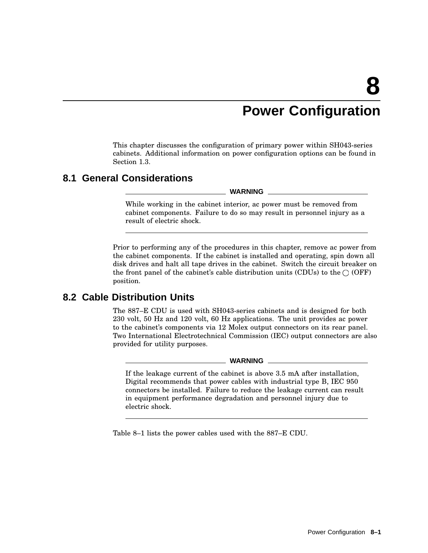# **Power Configuration**

This chapter discusses the configuration of primary power within SH043-series cabinets. Additional information on power configuration options can be found in Section 1.3.

## **8.1 General Considerations**

**WARNING**

While working in the cabinet interior, ac power must be removed from cabinet components. Failure to do so may result in personnel injury as a result of electric shock.

Prior to performing any of the procedures in this chapter, remove ac power from the cabinet components. If the cabinet is installed and operating, spin down all disk drives and halt all tape drives in the cabinet. Switch the circuit breaker on the front panel of the cabinet's cable distribution units (CDUs) to the  $\bigcirc$  (OFF) position.

## **8.2 Cable Distribution Units**

The 887–E CDU is used with SH043-series cabinets and is designed for both 230 volt, 50 Hz and 120 volt, 60 Hz applications. The unit provides ac power to the cabinet's components via 12 Molex output connectors on its rear panel. Two International Electrotechnical Commission (IEC) output connectors are also provided for utility purposes.

#### $\_$  WARNING  $\_$

If the leakage current of the cabinet is above 3.5 mA after installation, Digital recommends that power cables with industrial type B, IEC 950 connectors be installed. Failure to reduce the leakage current can result in equipment performance degradation and personnel injury due to electric shock.

Table 8–1 lists the power cables used with the 887–E CDU.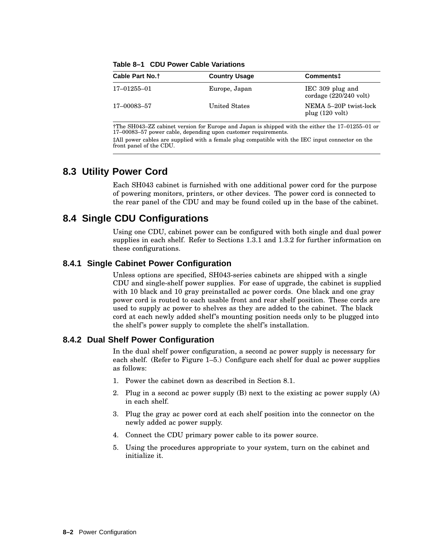| Cable Part No. <sup>†</sup> | <b>Country Usage</b> | Comments <sup>+</sup>                                |
|-----------------------------|----------------------|------------------------------------------------------|
| 17-01255-01                 | Europe, Japan        | IEC 309 plug and<br>cordage $(220/240 \text{ volt})$ |
| 17–00083–57                 | United States        | NEMA 5-20P twist-lock<br>plug $(120 \text{ volt})$   |

**Table 8–1 CDU Power Cable Variations**

†The SH043–ZZ cabinet version for Europe and Japan is shipped with the either the 17–01255–01 or 17–00083–57 power cable, depending upon customer requirements.

‡All power cables are supplied with a female plug compatible with the IEC input connector on the front panel of the CDU.

## **8.3 Utility Power Cord**

Each SH043 cabinet is furnished with one additional power cord for the purpose of powering monitors, printers, or other devices. The power cord is connected to the rear panel of the CDU and may be found coiled up in the base of the cabinet.

# **8.4 Single CDU Configurations**

Using one CDU, cabinet power can be configured with both single and dual power supplies in each shelf. Refer to Sections 1.3.1 and 1.3.2 for further information on these configurations.

### **8.4.1 Single Cabinet Power Configuration**

Unless options are specified, SH043-series cabinets are shipped with a single CDU and single-shelf power supplies. For ease of upgrade, the cabinet is supplied with 10 black and 10 gray preinstalled ac power cords. One black and one gray power cord is routed to each usable front and rear shelf position. These cords are used to supply ac power to shelves as they are added to the cabinet. The black cord at each newly added shelf's mounting position needs only to be plugged into the shelf's power supply to complete the shelf's installation.

### **8.4.2 Dual Shelf Power Configuration**

In the dual shelf power configuration, a second ac power supply is necessary for each shelf. (Refer to Figure 1–5.) Configure each shelf for dual ac power supplies as follows:

- 1. Power the cabinet down as described in Section 8.1.
- 2. Plug in a second ac power supply (B) next to the existing ac power supply (A) in each shelf.
- 3. Plug the gray ac power cord at each shelf position into the connector on the newly added ac power supply.
- 4. Connect the CDU primary power cable to its power source.
- 5. Using the procedures appropriate to your system, turn on the cabinet and initialize it.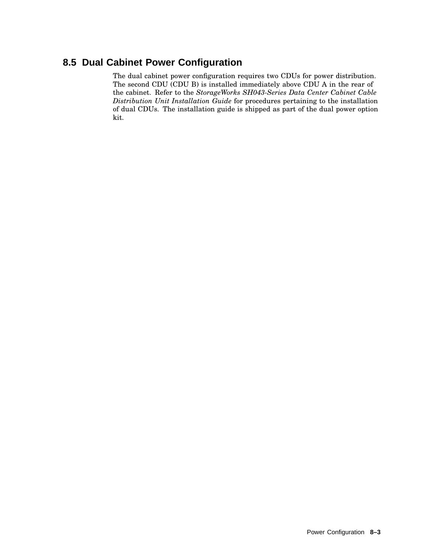# **8.5 Dual Cabinet Power Configuration**

The dual cabinet power configuration requires two CDUs for power distribution. The second CDU (CDU B) is installed immediately above CDU A in the rear of the cabinet. Refer to the *StorageWorks SH043-Series Data Center Cabinet Cable Distribution Unit Installation Guide* for procedures pertaining to the installation of dual CDUs. The installation guide is shipped as part of the dual power option kit.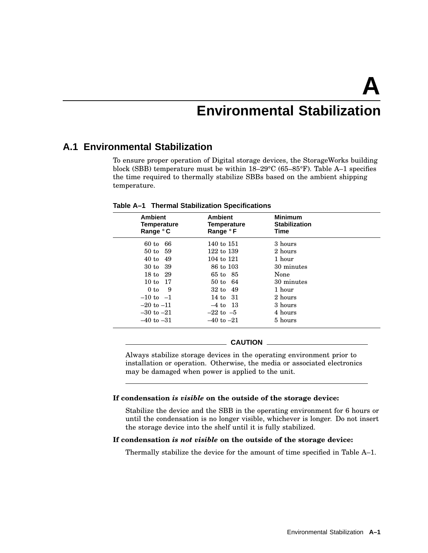# **Environmental Stabilization**

## **A.1 Environmental Stabilization**

To ensure proper operation of Digital storage devices, the StorageWorks building block (SBB) temperature must be within 18–29°C (65–85°F). Table A–1 specifies the time required to thermally stabilize SBBs based on the ambient shipping temperature.

| <b>Ambient</b><br><b>Temperature</b><br>Range °C | <b>Ambient</b><br>Temperature<br>Range °F | <b>Minimum</b><br><b>Stabilization</b><br>Time |  |
|--------------------------------------------------|-------------------------------------------|------------------------------------------------|--|
| 66<br>$60$ to                                    | 140 to 151                                | 3 hours                                        |  |
| 50 to 59                                         | 122 to 139                                | 2 hours                                        |  |
| 40 to 49                                         | 104 to 121                                | 1 hour                                         |  |
| 30 to 39                                         | 86 to 103                                 | 30 minutes                                     |  |
| 18 to 29                                         | 65 to 85                                  | None                                           |  |
| 10 to 17                                         | 50 to 64                                  | 30 minutes                                     |  |
| 0 to<br>- 9                                      | $32 \text{ to } 49$                       | 1 hour                                         |  |
| $-10$ to $-1$                                    | 14 to 31                                  | 2 hours                                        |  |
| $-20$ to $-11$                                   | $-4$ to 13                                | 3 hours                                        |  |
| $-30$ to $-21$                                   | $-22$ to $-5$                             | 4 hours                                        |  |
| $-40$ to $-31$                                   | $-40$ to $-21$                            | 5 hours                                        |  |

**Table A–1 Thermal Stabilization Specifications**

#### **CAUTION**

Always stabilize storage devices in the operating environment prior to installation or operation. Otherwise, the media or associated electronics may be damaged when power is applied to the unit.

#### **If condensation** *is visible* **on the outside of the storage device:**

Stabilize the device and the SBB in the operating environment for 6 hours or until the condensation is no longer visible, whichever is longer. Do not insert the storage device into the shelf until it is fully stabilized.

#### **If condensation** *is not visible* **on the outside of the storage device:**

Thermally stabilize the device for the amount of time specified in Table A–1.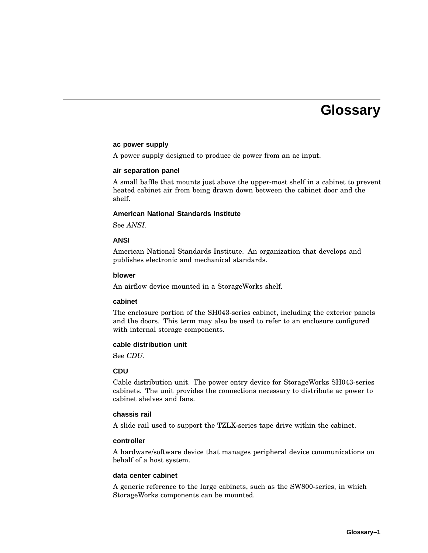# **Glossary**

#### **ac power supply**

A power supply designed to produce dc power from an ac input.

#### **air separation panel**

A small baffle that mounts just above the upper-most shelf in a cabinet to prevent heated cabinet air from being drawn down between the cabinet door and the shelf.

#### **American National Standards Institute**

See *ANSI*.

#### **ANSI**

American National Standards Institute. An organization that develops and publishes electronic and mechanical standards.

#### **blower**

An airflow device mounted in a StorageWorks shelf.

#### **cabinet**

The enclosure portion of the SH043-series cabinet, including the exterior panels and the doors. This term may also be used to refer to an enclosure configured with internal storage components.

#### **cable distribution unit**

See *CDU*.

#### **CDU**

Cable distribution unit. The power entry device for StorageWorks SH043-series cabinets. The unit provides the connections necessary to distribute ac power to cabinet shelves and fans.

#### **chassis rail**

A slide rail used to support the TZLX-series tape drive within the cabinet.

#### **controller**

A hardware/software device that manages peripheral device communications on behalf of a host system.

#### **data center cabinet**

A generic reference to the large cabinets, such as the SW800-series, in which StorageWorks components can be mounted.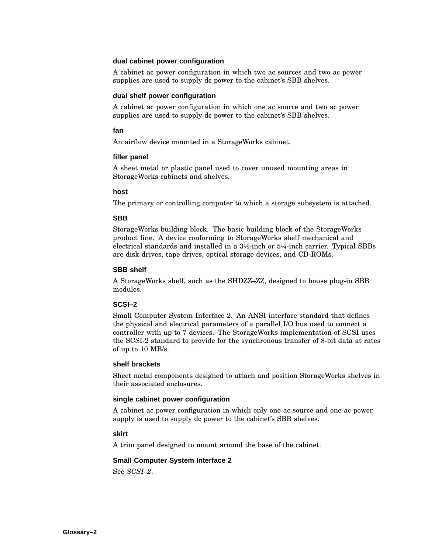#### **dual cabinet power configuration**

A cabinet ac power configuration in which two ac sources and two ac power supplies are used to supply dc power to the cabinet's SBB shelves.

#### **dual shelf power configuration**

A cabinet ac power configuration in which one ac source and two ac power supplies are used to supply dc power to the cabinet's SBB shelves.

#### **fan**

An airflow device mounted in a StorageWorks cabinet.

#### **filler panel**

A sheet metal or plastic panel used to cover unused mounting areas in StorageWorks cabinets and shelves.

#### **host**

The primary or controlling computer to which a storage subsystem is attached.

#### **SBB**

StorageWorks building block. The basic building block of the StorageWorks product line. A device conforming to StorageWorks shelf mechanical and electrical standards and installed in a 3½-inch or 5¼-inch carrier. Typical SBBs are disk drives, tape drives, optical storage devices, and CD-ROMs.

#### **SBB shelf**

A StorageWorks shelf, such as the SHDZZ–ZZ, designed to house plug-in SBB modules.

#### **SCSI–2**

Small Computer System Interface 2. An ANSI interface standard that defines the physical and electrical parameters of a parallel I/O bus used to connect a controller with up to 7 devices. The StorageWorks implementation of SCSI uses the SCSI-2 standard to provide for the synchronous transfer of 8-bit data at rates of up to 10 MB/s.

#### **shelf brackets**

Sheet metal components designed to attach and position StorageWorks shelves in their associated enclosures.

#### **single cabinet power configuration**

A cabinet ac power configuration in which only one ac source and one ac power supply is used to supply dc power to the cabinet's SBB shelves.

#### **skirt**

A trim panel designed to mount around the base of the cabinet.

#### **Small Computer System Interface 2**

See *SCSI–2*.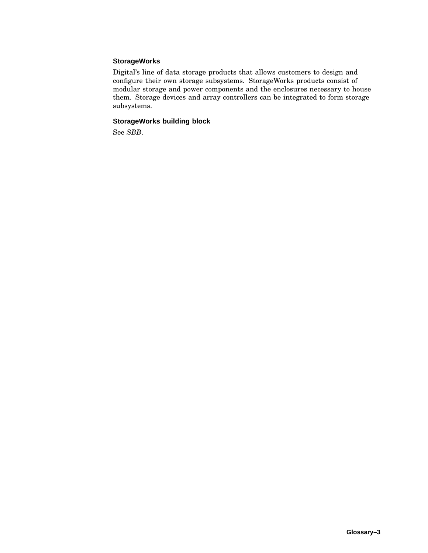#### **StorageWorks**

Digital's line of data storage products that allows customers to design and configure their own storage subsystems. StorageWorks products consist of modular storage and power components and the enclosures necessary to house them. Storage devices and array controllers can be integrated to form storage subsystems.

#### **StorageWorks building block**

See *SBB*.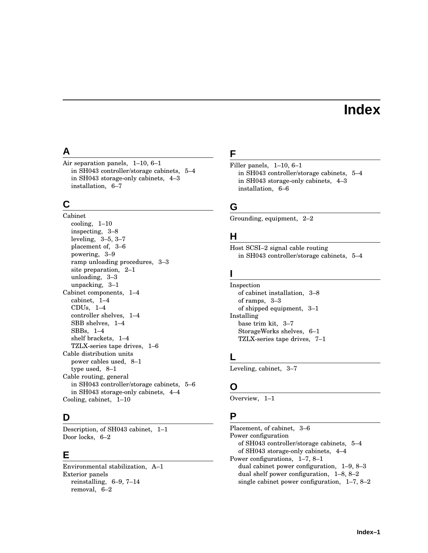# **Index**

## **A**

Air separation panels, 1–10, 6–1 in SH043 controller/storage cabinets, 5–4 in SH043 storage-only cabinets, 4–3 installation, 6–7

# **C**

Cabinet cooling, 1–10 inspecting, 3–8 leveling, 3–5, 3–7 placement of, 3–6 powering, 3–9 ramp unloading procedures, 3–3 site preparation, 2–1 unloading, 3–3 unpacking, 3–1 Cabinet components, 1–4 cabinet, 1–4 CDUs, 1–4 controller shelves, 1–4 SBB shelves, 1–4 SBBs, 1–4 shelf brackets, 1–4 TZLX-series tape drives, 1–6 Cable distribution units power cables used, 8–1 type used, 8–1 Cable routing, general in SH043 controller/storage cabinets, 5–6 in SH043 storage-only cabinets, 4–4 Cooling, cabinet, 1–10

# **D**

Description, of SH043 cabinet, 1–1 Door locks, 6–2

# **E**

Environmental stabilization, A–1 Exterior panels reinstalling, 6–9, 7–14 removal, 6–2

# **F**

Filler panels, 1–10, 6–1 in SH043 controller/storage cabinets, 5–4 in SH043 storage-only cabinets, 4–3 installation, 6–6

## **G**

Grounding, equipment, 2–2

## **H**

Host SCSI–2 signal cable routing in SH043 controller/storage cabinets, 5–4

## **I**

Inspection of cabinet installation, 3–8 of ramps, 3–3 of shipped equipment, 3–1 Installing base trim kit, 3–7 StorageWorks shelves, 6–1 TZLX-series tape drives, 7–1

## **L**

Leveling, cabinet, 3–7

# **O**

Overview, 1–1

### **P**

Placement, of cabinet, 3–6 Power configuration of SH043 controller/storage cabinets, 5–4 of SH043 storage-only cabinets, 4–4 Power configurations, 1–7, 8–1 dual cabinet power configuration, 1–9, 8–3 dual shelf power configuration, 1–8, 8–2 single cabinet power configuration, 1–7, 8–2